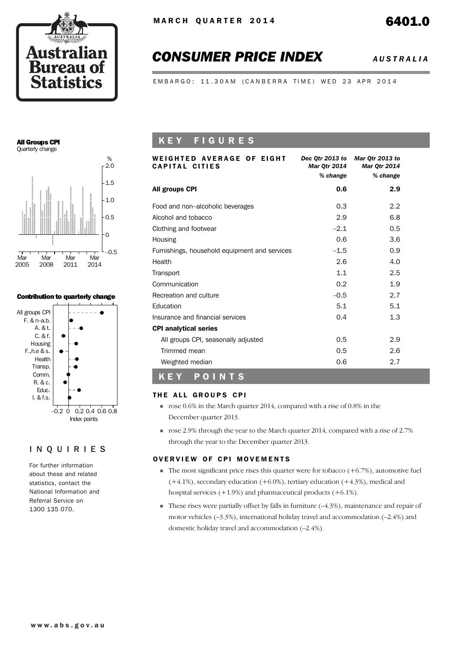

# *CONSUMER PRICE INDEX AUSTRALIA*

EMBARGO: 11.30AM (CANBERRA TIME) WED 23 APR 2014

### All Groups CPI Quarterly change



### Contribution to quarterly change



### INQUIRIES

For further information about these and related statistics, contact the National Information and Referral Service on 1300 135 070.

## K E Y F I G U R E S

| WEIGHTED AVERAGE OF EIGHT<br>CAPITAL CITIES   | Dec Otr 2013 to<br><b>Mar Otr 2014</b> | Mar Qtr 2013 to<br><b>Mar Otr 2014</b> |
|-----------------------------------------------|----------------------------------------|----------------------------------------|
|                                               | % change                               | % change                               |
| All groups CPI                                | 0.6                                    | 2.9                                    |
| Food and non-alcoholic beverages              | 0.3                                    | 2.2                                    |
| Alcohol and tobacco                           | 2.9                                    | 6.8                                    |
| Clothing and footwear                         | $-2.1$                                 | 0.5                                    |
| Housing                                       | 0.6                                    | 3.6                                    |
| Furnishings, household equipment and services | $-1.5$                                 | 0.9                                    |
| Health                                        | 2.6                                    | 4.0                                    |
| Transport                                     | 1.1                                    | 2.5                                    |
| Communication                                 | 0.2                                    | 1.9                                    |
| Recreation and culture                        | $-0.5$                                 | 2.7                                    |
| Education                                     | 5.1                                    | 5.1                                    |
| Insurance and financial services              | 0.4                                    | 1.3                                    |
| <b>CPI analytical series</b>                  |                                        |                                        |
| All groups CPI, seasonally adjusted           | 0.5                                    | 2.9                                    |
| Trimmed mean                                  | 0.5                                    | 2.6                                    |
| Weighted median                               | 0.6                                    | 2.7                                    |
| POINTS<br>K E Y                               |                                        |                                        |

### THE ALL GROUPS CPI

- ! rose 0.6% in the March quarter 2014, compared with a rise of 0.8% in the December quarter 2013.
- ! rose 2.9% through the year to the March quarter 2014, compared with a rise of 2.7% through the year to the December quarter 2013.

### OVERVIEW OF CPI MOVEMENTS

- $\blacksquare$  The most significant price rises this quarter were for tobacco (+6.7%), automotive fuel  $(+4.1\%)$ , secondary education  $(+6.0\%)$ , tertiary education  $(+4.3\%)$ , medical and hospital services (+1.9%) and pharmaceutical products (+6.1%).
- $\blacksquare$  These rises were partially offset by falls in furniture  $(-4.3\%)$ , maintenance and repair of motor vehicles (–3.3%), international holiday travel and accommodation (–2.4%) and domestic holiday travel and accommodation (–2.4%).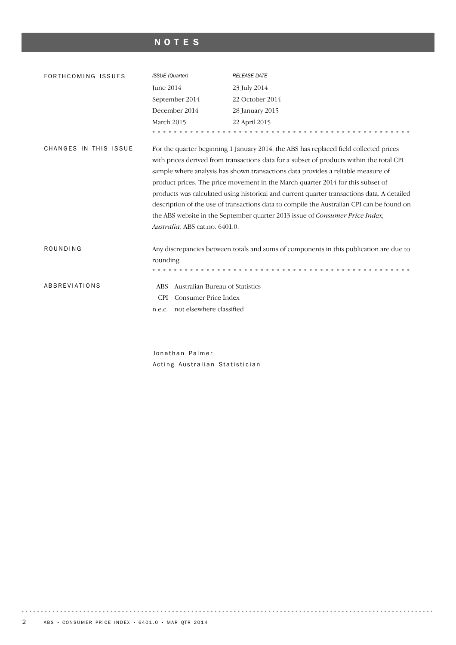# NOTES

| FORTHCOMING ISSUES    | <b>ISSUE</b> (Quarter)                        | <b>RELEASE DATE</b>                                                                                                                                                                                                                                                                                                                                                                                                                                                                                                                                                                                                                         |
|-----------------------|-----------------------------------------------|---------------------------------------------------------------------------------------------------------------------------------------------------------------------------------------------------------------------------------------------------------------------------------------------------------------------------------------------------------------------------------------------------------------------------------------------------------------------------------------------------------------------------------------------------------------------------------------------------------------------------------------------|
|                       | June 2014                                     | 23 July 2014                                                                                                                                                                                                                                                                                                                                                                                                                                                                                                                                                                                                                                |
|                       | September 2014                                | 22 October 2014                                                                                                                                                                                                                                                                                                                                                                                                                                                                                                                                                                                                                             |
|                       | December 2014                                 | 28 January 2015                                                                                                                                                                                                                                                                                                                                                                                                                                                                                                                                                                                                                             |
|                       | March 2015                                    | 22 April 2015                                                                                                                                                                                                                                                                                                                                                                                                                                                                                                                                                                                                                               |
|                       |                                               |                                                                                                                                                                                                                                                                                                                                                                                                                                                                                                                                                                                                                                             |
| CHANGES IN THIS ISSUE | Australia, ABS cat.no. 6401.0.                | For the quarter beginning 1 January 2014, the ABS has replaced field collected prices<br>with prices derived from transactions data for a subset of products within the total CPI<br>sample where analysis has shown transactions data provides a reliable measure of<br>product prices. The price movement in the March quarter 2014 for this subset of<br>products was calculated using historical and current quarter transactions data. A detailed<br>description of the use of transactions data to compile the Australian CPI can be found on<br>the ABS website in the September quarter 2013 issue of <i>Consumer Price Index</i> , |
| ROUNDING              |                                               | Any discrepancies between totals and sums of components in this publication are due to                                                                                                                                                                                                                                                                                                                                                                                                                                                                                                                                                      |
|                       | rounding.                                     |                                                                                                                                                                                                                                                                                                                                                                                                                                                                                                                                                                                                                                             |
|                       |                                               |                                                                                                                                                                                                                                                                                                                                                                                                                                                                                                                                                                                                                                             |
| <b>ABBREVIATIONS</b>  | Australian Bureau of Statistics<br><b>ABS</b> |                                                                                                                                                                                                                                                                                                                                                                                                                                                                                                                                                                                                                                             |
|                       | Consumer Price Index<br><b>CPI</b>            |                                                                                                                                                                                                                                                                                                                                                                                                                                                                                                                                                                                                                                             |
|                       | not elsewhere classified<br>n.e.c.            |                                                                                                                                                                                                                                                                                                                                                                                                                                                                                                                                                                                                                                             |
|                       |                                               |                                                                                                                                                                                                                                                                                                                                                                                                                                                                                                                                                                                                                                             |

Jonathan Palmer Acting Australian Statistician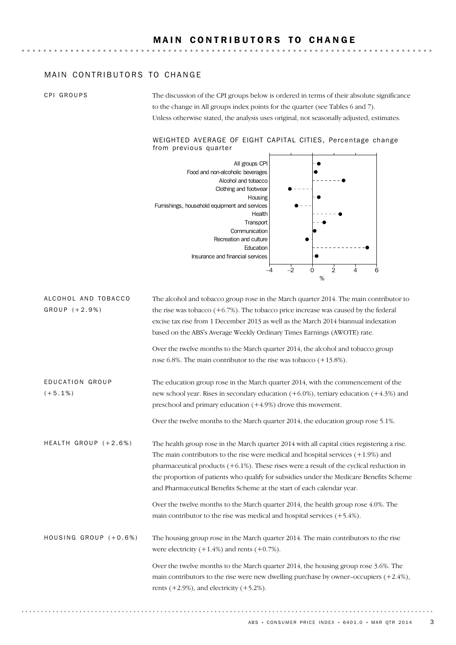### MAIN CONTRIBUTORS TO CHANGE

CPI GROUPS

The discussion of the CPI groups below is ordered in terms of their absolute significance to the change in All groups index points for the quarter (see Tables 6 and 7). Unless otherwise stated, the analysis uses original, not seasonally adjusted, estimates.

### WEIGHTED AVERAGE OF EIGHT CAPITAL CITIES, Percentage change from previous quarter



The alcohol and tobacco group rose in the March quarter 2014. The main contributor to the rise was tobacco  $(+6.7%)$ . The tobacco price increase was caused by the federal excise tax rise from 1 December 2013 as well as the March 2014 biannual indexation based on the ABS's Average Weekly Ordinary Times Earnings (AWOTE) rate. ALCOHOL AND TOBACCO  $GROUP (+ 2.9%)$ 

> Over the twelve months to the March quarter 2014, the alcohol and tobacco group rose 6.8%. The main contributor to the rise was tobacco (+13.8%).

The education group rose in the March quarter 2014, with the commencement of the new school year. Rises in secondary education (+6.0%), tertiary education (+4.3%) and preschool and primary education (+4.9%) drove this movement. ED U C A T I O N GR O U P  $(+5.1\%)$ 

Over the twelve months to the March quarter 2014, the education group rose 5.1%.

The health group rose in the March quarter 2014 with all capital cities registering a rise. The main contributors to the rise were medical and hospital services (+1.9%) and pharmaceutical products  $(+6.1\%)$ . These rises were a result of the cyclical reduction in the proportion of patients who qualify for subsidies under the Medicare Benefits Scheme and Pharmaceutical Benefits Scheme at the start of each calendar year. HEALTH GROUP  $(+2.6%)$ 

> Over the twelve months to the March quarter 2014, the health group rose 4.0%. The main contributor to the rise was medical and hospital services (+5.4%).

The housing group rose in the March quarter 2014. The main contributors to the rise were electricity  $(+1.4\%)$  and rents  $(+0.7\%)$ . HOUSING GROUP  $(+0.6%)$ 

> Over the twelve months to the March quarter 2014, the housing group rose 3.6%. The main contributors to the rise were new dwelling purchase by owner–occupiers  $(+2.4\%)$ , rents  $(+2.9\%)$ , and electricity  $(+5.2\%)$ .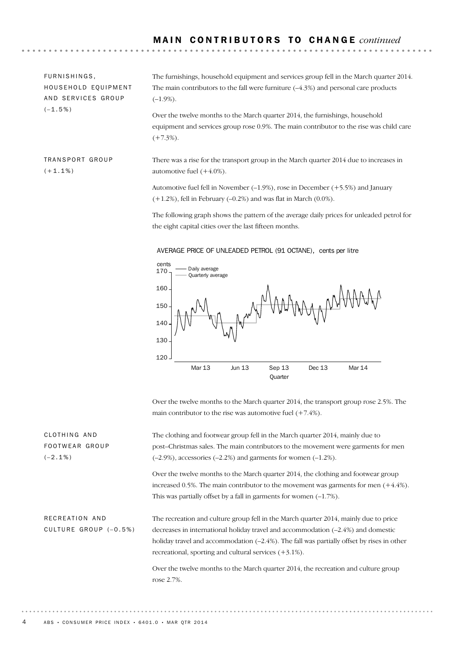FURNISHINGS, HOUSEHOLD EQUIPMENT AND SERVICES GROUP  $(-1.5%)$ 

The furnishings, household equipment and services group fell in the March quarter 2014. The main contributors to the fall were furniture (–4.3%) and personal care products  $(-1.9\%)$ .

Over the twelve months to the March quarter 2014, the furnishings, household equipment and services group rose 0.9%. The main contributor to the rise was child care  $(+7.3\%).$ 

TRANSPORT GROUP  $(+1.1\%)$ 

There was a rise for the transport group in the March quarter 2014 due to increases in automotive fuel (+4.0%).

Automotive fuel fell in November (–1.9%), rose in December (+5.5%) and January  $(+1.2%)$ , fell in February  $(-0.2%)$  and was flat in March  $(0.0%).$ 

The following graph shows the pattern of the average daily prices for unleaded petrol for the eight capital cities over the last fifteen months.



Over the twelve months to the March quarter 2014, the transport group rose 2.5%. The main contributor to the rise was automotive fuel  $(+7.4\%)$ .

| CLOTHING AND          | The clothing and footwear group fell in the March quarter 2014, mainly due to                 |
|-----------------------|-----------------------------------------------------------------------------------------------|
| FOOTWEAR GROUP        | post-Christmas sales. The main contributors to the movement were garments for men             |
| $(-2.1\%)$            | $(-2.9\%)$ , accessories $(-2.2\%)$ and garments for women $(-1.2\%)$ .                       |
|                       | Over the twelve months to the March quarter 2014, the clothing and footwear group             |
|                       | increased 0.5%. The main contributor to the movement was garments for men $(+4.4\%)$ .        |
|                       | This was partially offset by a fall in garments for women $(-1.7\%)$ .                        |
|                       |                                                                                               |
| RECREATION AND        | The recreation and culture group fell in the March quarter 2014, mainly due to price          |
| CULTURE GROUP (-0.5%) | decreases in international holiday travel and accommodation $(-2.4%)$ and domestic            |
|                       | holiday travel and accommodation $(-2.4\%)$ . The fall was partially offset by rises in other |
|                       | recreational, sporting and cultural services $(+3.1\%)$ .                                     |
|                       | Over the twelve months to the March quarter 2014, the recreation and culture group            |
|                       | rose 2.7%.                                                                                    |

AVERAGE PRICE OF UNLEADED PETROL (91 OCTANE), cents per litre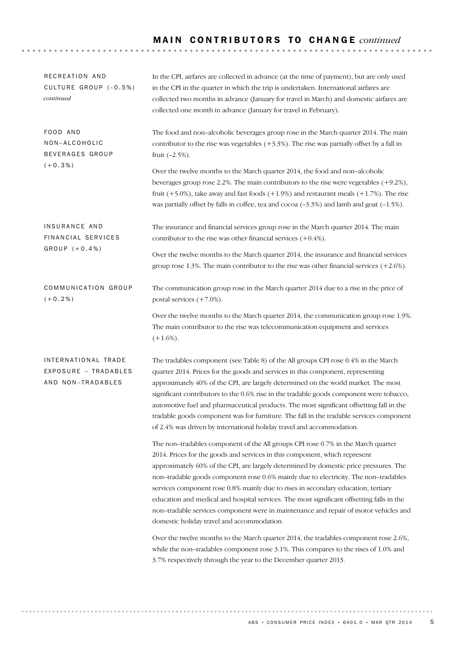# M A I N C O N T R I B U T O R S T O C H A N G E *continued*

| RECREATION AND<br>CULTURE GROUP (-0.5%)<br>continued             | In the CPI, airfares are collected in advance (at the time of payment), but are only used<br>in the CPI in the quarter in which the trip is undertaken. International airfares are<br>collected two months in advance (January for travel in March) and domestic airfares are<br>collected one month in advance (January for travel in February).                                                                                                                                                                                                                                                                                                                      |  |  |  |  |  |
|------------------------------------------------------------------|------------------------------------------------------------------------------------------------------------------------------------------------------------------------------------------------------------------------------------------------------------------------------------------------------------------------------------------------------------------------------------------------------------------------------------------------------------------------------------------------------------------------------------------------------------------------------------------------------------------------------------------------------------------------|--|--|--|--|--|
| FOOD AND<br>NON-ALCOHOLIC<br>BEVERAGES GROUP<br>$(+0.3\%)$       | The food and non-alcoholic beverages group rose in the March quarter 2014. The main<br>contributor to the rise was vegetables $(+3.3%)$ . The rise was partially offset by a fall in<br>fruit $(-2.5\%)$ .                                                                                                                                                                                                                                                                                                                                                                                                                                                             |  |  |  |  |  |
|                                                                  | Over the twelve months to the March quarter 2014, the food and non-alcoholic<br>beverages group rose 2.2%. The main contributors to the rise were vegetables $(+9.2\%)$ ,<br>fruit $(+5.0\%)$ , take away and fast foods $(+1.9\%)$ and restaurant meals $(+1.7\%)$ . The rise<br>was partially offset by falls in coffee, tea and cocoa $(-3.3%)$ and lamb and goat $(-1.5%).$                                                                                                                                                                                                                                                                                        |  |  |  |  |  |
| INSURANCE AND<br>FINANCIAL SERVICES                              | The insurance and financial services group rose in the March quarter 2014. The main<br>contributor to the rise was other financial services $(+0.4\%)$ .                                                                                                                                                                                                                                                                                                                                                                                                                                                                                                               |  |  |  |  |  |
| $GROUP (+0.4%)$                                                  | Over the twelve months to the March quarter 2014, the insurance and financial services<br>group rose 1.3%. The main contributor to the rise was other financial services $(+2.6\%)$ .                                                                                                                                                                                                                                                                                                                                                                                                                                                                                  |  |  |  |  |  |
| COMMUNICATION GROUP<br>$(+0.2\%)$                                | The communication group rose in the March quarter 2014 due to a rise in the price of<br>postal services $(+7.0\%)$ .                                                                                                                                                                                                                                                                                                                                                                                                                                                                                                                                                   |  |  |  |  |  |
|                                                                  | Over the twelve months to the March quarter 2014, the communication group rose 1.9%.<br>The main contributor to the rise was telecommunication equipment and services<br>$(+1.6\%).$                                                                                                                                                                                                                                                                                                                                                                                                                                                                                   |  |  |  |  |  |
| INTERNATIONAL TRADE<br>EXPOSURE - TRADABLES<br>AND NON-TRADABLES | The tradables component (see Table 8) of the All groups CPI rose 0.4% in the March<br>quarter 2014. Prices for the goods and services in this component, representing<br>approximately 40% of the CPI, are largely determined on the world market. The most<br>significant contributors to the 0.6% rise in the tradable goods component were tobacco,<br>automotive fuel and pharmaceutical products. The most significant offsetting fall in the<br>tradable goods component was for furniture. The fall in the tradable services component<br>of 2.4% was driven by international holiday travel and accommodation.                                                 |  |  |  |  |  |
|                                                                  | The non-tradables component of the All groups CPI rose 0.7% in the March quarter<br>2014. Prices for the goods and services in this component, which represent<br>approximately 60% of the CPI, are largely determined by domestic price pressures. The<br>non-tradable goods component rose 0.6% mainly due to electricity. The non-tradables<br>services component rose 0.8% mainly due to rises in secondary education, tertiary<br>education and medical and hospital services. The most significant offsetting falls in the<br>non-tradable services component were in maintenance and repair of motor vehicles and<br>domestic holiday travel and accommodation. |  |  |  |  |  |
|                                                                  | Over the twelve months to the March quarter 2014, the tradables component rose 2.6%,<br>while the non-tradables component rose 3.1%. This compares to the rises of 1.0% and<br>3.7% respectively through the year to the December quarter 2013.                                                                                                                                                                                                                                                                                                                                                                                                                        |  |  |  |  |  |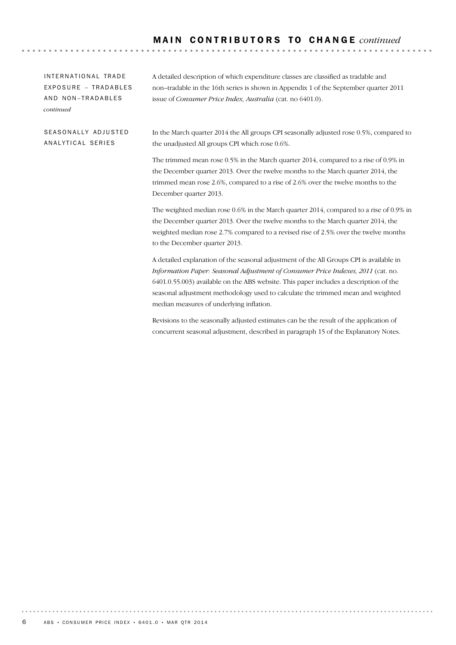. . . . . . .

INTERNATIONAL TRADE EXPOSURE - TRADABLES AND NON-TRADABLES *continued*

A detailed description of which expenditure classes are classified as tradable and non–tradable in the 16th series is shown in Appendix 1 of the September quarter 2011 issue of *Consumer Price Index, Australia* (cat. no 6401.0).

SEASONALLY ADJUSTED AN ALYTICAL SERIES

In the March quarter 2014 the All groups CPI seasonally adjusted rose 0.5%, compared to the unadjusted All groups CPI which rose 0.6%.

The trimmed mean rose 0.5% in the March quarter 2014, compared to a rise of 0.9% in the December quarter 2013. Over the twelve months to the March quarter 2014, the trimmed mean rose 2.6%, compared to a rise of 2.6% over the twelve months to the December quarter 2013.

The weighted median rose 0.6% in the March quarter 2014, compared to a rise of 0.9% in the December quarter 2013. Over the twelve months to the March quarter 2014, the weighted median rose 2.7% compared to a revised rise of 2.5% over the twelve months to the December quarter 2013.

A detailed explanation of the seasonal adjustment of the All Groups CPI is available in *Information Paper: Seasonal Adjustment of Consumer Price Indexes, 2011* (cat. no. 6401.0.55.003) available on the ABS website. This paper includes a description of the seasonal adjustment methodology used to calculate the trimmed mean and weighted median measures of underlying inflation.

Revisions to the seasonally adjusted estimates can be the result of the application of concurrent seasonal adjustment, described in paragraph 15 of the Explanatory Notes.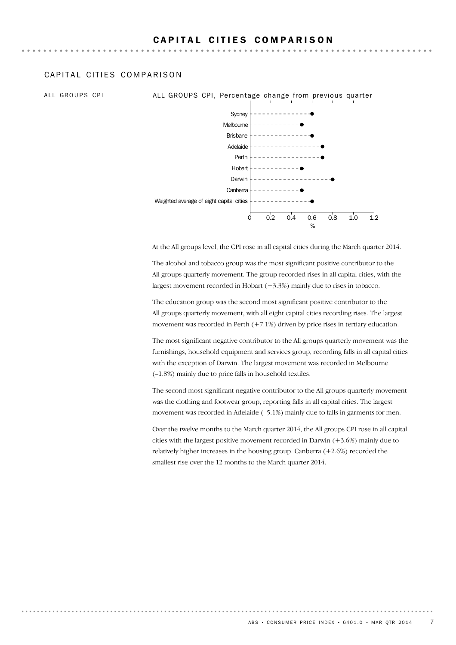### CAPITAL CITIFS COMPARISON

ALL GROUPS CPI **ALL GROUPS CPI, Percentage change from previous quarter** 



At the All groups level, the CPI rose in all capital cities during the March quarter 2014.

The alcohol and tobacco group was the most significant positive contributor to the All groups quarterly movement. The group recorded rises in all capital cities, with the largest movement recorded in Hobart  $(+3.3%)$  mainly due to rises in tobacco.

The education group was the second most significant positive contributor to the All groups quarterly movement, with all eight capital cities recording rises. The largest movement was recorded in Perth (+7.1%) driven by price rises in tertiary education.

The most significant negative contributor to the All groups quarterly movement was the furnishings, household equipment and services group, recording falls in all capital cities with the exception of Darwin. The largest movement was recorded in Melbourne (–1.8%) mainly due to price falls in household textiles.

The second most significant negative contributor to the All groups quarterly movement was the clothing and footwear group, reporting falls in all capital cities. The largest movement was recorded in Adelaide (–5.1%) mainly due to falls in garments for men.

Over the twelve months to the March quarter 2014, the All groups CPI rose in all capital cities with the largest positive movement recorded in Darwin (+3.6%) mainly due to relatively higher increases in the housing group. Canberra  $(+2.6%)$  recorded the smallest rise over the 12 months to the March quarter 2014.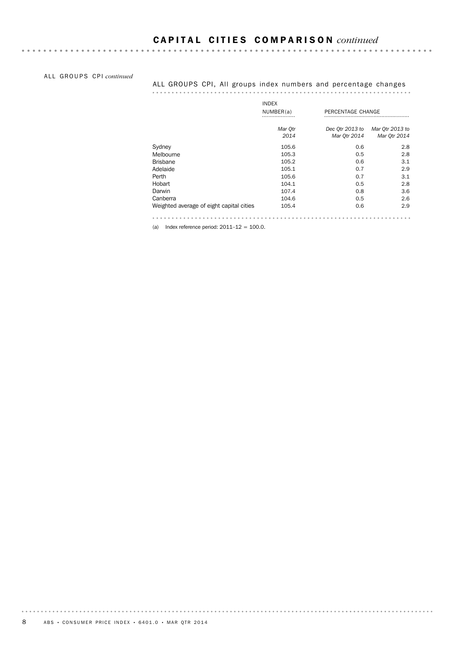ALL GROUPS CPI *continued* 

### ALL GROUPS CPI, All groups index numbers and percentage changes

|                                          | <b>INDEX</b> |                   |                 |
|------------------------------------------|--------------|-------------------|-----------------|
|                                          | NUMBER(a)    | PERCENTAGE CHANGE |                 |
|                                          | Mar Qtr      | Dec Otr 2013 to   | Mar Otr 2013 to |
|                                          | 2014         | Mar Otr 2014      | Mar 0tr 2014    |
| Sydney                                   | 105.6        | 0.6               | 2.8             |
| Melbourne                                | 105.3        | 0.5               | 2.8             |
| <b>Brisbane</b>                          | 105.2        | 0.6               | 3.1             |
| Adelaide                                 | 105.1        | 0.7               | 2.9             |
| Perth                                    | 105.6        | 0.7               | 3.1             |
| Hobart                                   | 104.1        | 0.5               | 2.8             |
| Darwin                                   | 107.4        | 0.8               | 3.6             |
| Canberra                                 | 104.6        | 0.5               | 2.6             |
| Weighted average of eight capital cities | 105.4        | 0.6               | 2.9             |
|                                          |              |                   |                 |

(a) Index reference period:  $2011-12 = 100.0$ .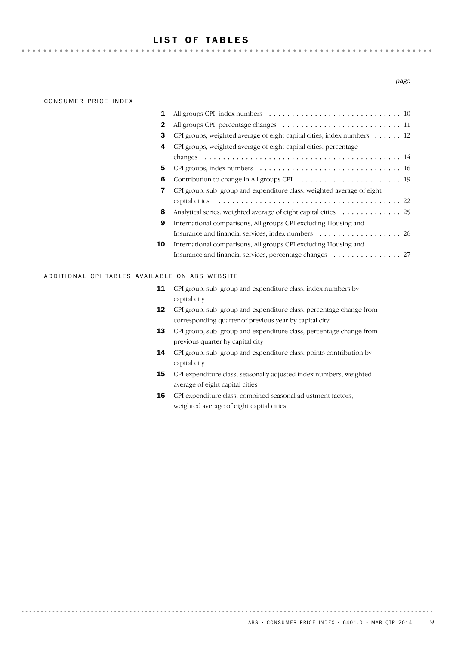### LIST OF TABLES

. . . . . . . . . . . .

### CONSUMER PRICE INDEX

### Insurance and financial services, percentage changes (and subseted that  $27$ International comparisons, All groups CPI excluding Housing and 10 Insurance and financial services, index numbers ................................. International comparisons, All groups CPI excluding Housing and 9 8 Analytical series, weighted average of eight capital cities ............. 25 22 capital cities ........................................ CPI group, sub–group and expenditure class, weighted average of eight 7 6 Contribution to change in All groups CPI ...................... 19 5 CPI groups, index numbers ............................... 16 14 changes ........................................... 4 CPI groups, weighted average of eight capital cities, percentage 3 CPI groups, weighted average of eight capital cities, index numbers . . . . . . 12 2 All groups CPI, percentage changes .......................... 11 1 All groups CPI, index numbers ............................. 10

### ADDITIONAL CPI TABLES AVAILABLE ON ABS WEBSITE

- **11** CPI group, sub–group and expenditure class, index numbers by capital city
- **12** CPI group, sub–group and expenditure class, percentage change from corresponding quarter of previous year by capital city
- 13 CPI group, sub-group and expenditure class, percentage change from previous quarter by capital city
- CPI group, sub–group and expenditure class, points contribution by capital city 14
- **15** CPI expenditure class, seasonally adjusted index numbers, weighted average of eight capital cities
- CPI expenditure class, combined seasonal adjustment factors, weighted average of eight capital cities 16

*page*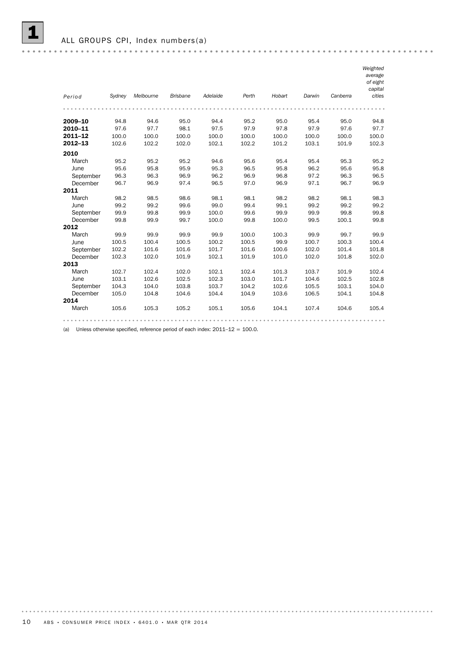| Period      | Sydney | Melbourne | <b>Brisbane</b> | Adelaide | Perth | Hobart | Darwin | Canberra | Weighted<br>average<br>of eight<br>capital<br>cities |
|-------------|--------|-----------|-----------------|----------|-------|--------|--------|----------|------------------------------------------------------|
|             |        |           |                 |          |       |        |        |          |                                                      |
|             |        |           |                 |          |       |        |        |          |                                                      |
| 2009-10     | 94.8   | 94.6      | 95.0            | 94.4     | 95.2  | 95.0   | 95.4   | 95.0     | 94.8                                                 |
| 2010-11     | 97.6   | 97.7      | 98.1            | 97.5     | 97.9  | 97.8   | 97.9   | 97.6     | 97.7                                                 |
| $2011 - 12$ | 100.0  | 100.0     | 100.0           | 100.0    | 100.0 | 100.0  | 100.0  | 100.0    | 100.0                                                |
| $2012 - 13$ | 102.6  | 102.2     | 102.0           | 102.1    | 102.2 | 101.2  | 103.1  | 101.9    | 102.3                                                |
| 2010        |        |           |                 |          |       |        |        |          |                                                      |
| March       | 95.2   | 95.2      | 95.2            | 94.6     | 95.6  | 95.4   | 95.4   | 95.3     | 95.2                                                 |
| June        | 95.6   | 95.8      | 95.9            | 95.3     | 96.5  | 95.8   | 96.2   | 95.6     | 95.8                                                 |
| September   | 96.3   | 96.3      | 96.9            | 96.2     | 96.9  | 96.8   | 97.2   | 96.3     | 96.5                                                 |
| December    | 96.7   | 96.9      | 97.4            | 96.5     | 97.0  | 96.9   | 97.1   | 96.7     | 96.9                                                 |
| 2011        |        |           |                 |          |       |        |        |          |                                                      |
| March       | 98.2   | 98.5      | 98.6            | 98.1     | 98.1  | 98.2   | 98.2   | 98.1     | 98.3                                                 |
| June        | 99.2   | 99.2      | 99.6            | 99.0     | 99.4  | 99.1   | 99.2   | 99.2     | 99.2                                                 |
| September   | 99.9   | 99.8      | 99.9            | 100.0    | 99.6  | 99.9   | 99.9   | 99.8     | 99.8                                                 |
| December    | 99.8   | 99.9      | 99.7            | 100.0    | 99.8  | 100.0  | 99.5   | 100.1    | 99.8                                                 |
| 2012        |        |           |                 |          |       |        |        |          |                                                      |
| March       | 99.9   | 99.9      | 99.9            | 99.9     | 100.0 | 100.3  | 99.9   | 99.7     | 99.9                                                 |
| June        | 100.5  | 100.4     | 100.5           | 100.2    | 100.5 | 99.9   | 100.7  | 100.3    | 100.4                                                |
| September   | 102.2  | 101.6     | 101.6           | 101.7    | 101.6 | 100.6  | 102.0  | 101.4    | 101.8                                                |
| December    | 102.3  | 102.0     | 101.9           | 102.1    | 101.9 | 101.0  | 102.0  | 101.8    | 102.0                                                |
| 2013        |        |           |                 |          |       |        |        |          |                                                      |
| March       | 102.7  | 102.4     | 102.0           | 102.1    | 102.4 | 101.3  | 103.7  | 101.9    | 102.4                                                |
| June        | 103.1  | 102.6     | 102.5           | 102.3    | 103.0 | 101.7  | 104.6  | 102.5    | 102.8                                                |
| September   | 104.3  | 104.0     | 103.8           | 103.7    | 104.2 | 102.6  | 105.5  | 103.1    | 104.0                                                |
| December    | 105.0  | 104.8     | 104.6           | 104.4    | 104.9 | 103.6  | 106.5  | 104.1    | 104.8                                                |
| 2014        |        |           |                 |          |       |        |        |          |                                                      |
| March       | 105.6  | 105.3     | 105.2           | 105.1    | 105.6 | 104.1  | 107.4  | 104.6    | 105.4                                                |
|             |        |           |                 |          |       |        |        |          |                                                      |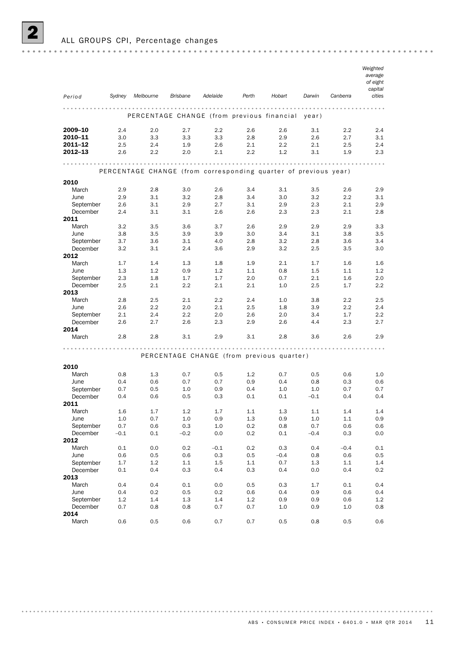ALL GROUPS CPI, Percentage changes

| Period           | Sydney  | Melbourne                                                       | <b>Brisbane</b> | Adelaide                                  | Perth   | Hobart  | Darwin  | Canberra | Weighted<br>average<br>of eight<br>capital<br>cities |
|------------------|---------|-----------------------------------------------------------------|-----------------|-------------------------------------------|---------|---------|---------|----------|------------------------------------------------------|
|                  |         |                                                                 |                 |                                           |         |         |         |          |                                                      |
|                  |         | PERCENTAGE CHANGE (from previous financial                      |                 |                                           |         |         | year)   |          |                                                      |
| 2009–10          | 2.4     | 2.0                                                             | 2.7             | $2.2\,$                                   | 2.6     | 2.6     | 3.1     | 2.2      | 2.4                                                  |
| 2010-11          | 3.0     | 3.3                                                             | 3.3             | 3.3                                       | 2.8     | 2.9     | 2.6     | 2.7      | 3.1                                                  |
| 2011-12          | 2.5     | 2.4                                                             | 1.9             | 2.6                                       | 2.1     | 2.2     | 2.1     | 2.5      | 2.4                                                  |
| 2012–13          | 2.6     | 2.2                                                             | 2.0             | 2.1                                       | 2.2     | 1.2     | 3.1     | 1.9      | 2.3                                                  |
|                  |         |                                                                 |                 |                                           |         |         |         |          | $-0.00$                                              |
|                  |         | PERCENTAGE CHANGE (from corresponding quarter of previous year) |                 |                                           |         |         |         |          |                                                      |
| 2010             |         |                                                                 |                 |                                           |         |         |         |          |                                                      |
| March            | 2.9     | 2.8                                                             | 3.0             | 2.6                                       | 3.4     | 3.1     | 3.5     | 2.6      | 2.9                                                  |
| June             | 2.9     | 3.1                                                             | 3.2             | 2.8                                       | 3.4     | 3.0     | 3.2     | 2.2      | 3.1                                                  |
| September        | 2.6     | 3.1                                                             | 2.9             | 2.7                                       | 3.1     | 2.9     | 2.3     | 2.1      | 2.9                                                  |
| December         | 2.4     | 3.1                                                             | 3.1             | 2.6                                       | 2.6     | 2.3     | 2.3     | 2.1      | 2.8                                                  |
| 2011             |         |                                                                 |                 |                                           |         |         |         |          |                                                      |
| March            | 3.2     | 3.5                                                             | 3.6             | 3.7                                       | 2.6     | 2.9     | 2.9     | 2.9      | 3.3                                                  |
| June             | 3.8     | 3.5                                                             | 3.9             | 3.9                                       | 3.0     | 3.4     | 3.1     | 3.8      | 3.5                                                  |
| September        | 3.7     | 3.6                                                             | 3.1             | 4.0                                       | 2.8     | 3.2     | 2.8     | 3.6      | 3.4                                                  |
| December<br>2012 | 3.2     | 3.1                                                             | 2.4             | 3.6                                       | 2.9     | 3.2     | 2.5     | 3.5      | 3.0                                                  |
| March            | 1.7     | 1.4                                                             | 1.3             | 1.8                                       | 1.9     | 2.1     | 1.7     | 1.6      | 1.6                                                  |
| June             | 1.3     | 1.2                                                             | 0.9             | 1.2                                       | 1.1     | 0.8     | $1.5\,$ | 1.1      | 1.2                                                  |
| September        | 2.3     | 1.8                                                             | 1.7             | 1.7                                       | 2.0     | 0.7     | 2.1     | 1.6      | 2.0                                                  |
| December         | 2.5     | 2.1                                                             | 2.2             | 2.1                                       | 2.1     | 1.0     | 2.5     | 1.7      | 2.2                                                  |
| 2013             |         |                                                                 |                 |                                           |         |         |         |          |                                                      |
| March            | 2.8     | 2.5                                                             | 2.1             | 2.2                                       | 2.4     | 1.0     | 3.8     | 2.2      | 2.5                                                  |
| June             | 2.6     | 2.2                                                             | 2.0             | 2.1                                       | 2.5     | 1.8     | 3.9     | $2.2\,$  | 2.4                                                  |
| September        | 2.1     | 2.4                                                             | 2.2             | 2.0                                       | 2.6     | 2.0     | 3.4     | 1.7      | 2.2                                                  |
| December         | 2.6     | 2.7                                                             | 2.6             | 2.3                                       | 2.9     | 2.6     | 4.4     | 2.3      | 2.7                                                  |
| 2014             |         |                                                                 |                 |                                           |         |         |         |          |                                                      |
| March            | 2.8     | 2.8                                                             | 3.1             | 2.9                                       | 3.1     | 2.8     | 3.6     | 2.6      | 2.9                                                  |
|                  |         |                                                                 |                 |                                           |         |         |         |          |                                                      |
|                  |         |                                                                 |                 | PERCENTAGE CHANGE (from previous quarter) |         |         |         |          |                                                      |
|                  |         |                                                                 |                 |                                           |         |         |         |          |                                                      |
| 2010<br>March    | 0.8     | 1.3                                                             | 0.7             | 0.5                                       | 1.2     | 0.7     | 0.5     | 0.6      | 1.0                                                  |
| June             | 0.4     | 0.6                                                             | 0.7             | 0.7                                       | 0.9     | 0.4     | 0.8     | 0.3      | 0.6                                                  |
| September        | 0.7     | 0.5                                                             | 1.0             | 0.9                                       | 0.4     | 1.0     | 1.0     | 0.7      | 0.7                                                  |
| December         | 0.4     | 0.6                                                             | 0.5             | 0.3                                       | 0.1     | 0.1     | $-0.1$  | 0.4      | 0.4                                                  |
| 2011             |         |                                                                 |                 |                                           |         |         |         |          |                                                      |
| March            | $1.6\,$ | $1.7\,$                                                         | 1.2             | 1.7                                       | $1.1\,$ | $1.3\,$ | $1.1\,$ | 1.4      | $1.4\,$                                              |
| June             | 1.0     | 0.7                                                             | 1.0             | 0.9                                       | 1.3     | 0.9     | 1.0     | 1.1      | 0.9                                                  |
| September        | 0.7     | 0.6                                                             | 0.3             | 1.0                                       | 0.2     | 0.8     | 0.7     | 0.6      | 0.6                                                  |
| December         | $-0.1$  | 0.1                                                             | $-0.2$          | 0.0                                       | 0.2     | 0.1     | $-0.4$  | 0.3      | 0.0                                                  |
| 2012             |         |                                                                 |                 |                                           |         |         |         |          |                                                      |
| March            | 0.1     | 0.0                                                             | 0.2             | $-0.1$                                    | 0.2     | 0.3     | 0.4     | $-0.4$   | 0.1                                                  |
| June             | 0.6     | 0.5                                                             | 0.6             | 0.3                                       | 0.5     | $-0.4$  | 0.8     | 0.6      | 0.5                                                  |
| September        | 1.7     | 1.2                                                             | 1.1             | 1.5                                       | 1.1     | 0.7     | 1.3     | 1.1      | 1.4                                                  |
| December         | 0.1     | 0.4                                                             | 0.3             | 0.4                                       | 0.3     | 0.4     | 0.0     | 0.4      | 0.2                                                  |
| 2013<br>March    | 0.4     | 0.4                                                             | 0.1             | 0.0                                       | 0.5     | 0.3     | 1.7     | 0.1      | 0.4                                                  |
| June             | 0.4     | 0.2                                                             | 0.5             | 0.2                                       | 0.6     | 0.4     | 0.9     | 0.6      | 0.4                                                  |
| September        | 1.2     | 1.4                                                             | 1.3             | 1.4                                       | 1.2     | 0.9     | 0.9     | 0.6      | 1.2                                                  |
| December         | 0.7     | 0.8                                                             | 0.8             | 0.7                                       | 0.7     | $1.0\,$ | 0.9     | $1.0\,$  | 0.8                                                  |
| 2014             |         |                                                                 |                 |                                           |         |         |         |          |                                                      |
| March            | 0.6     | 0.5                                                             | 0.6             | 0.7                                       | 0.7     | 0.5     | 0.8     | 0.5      | 0.6                                                  |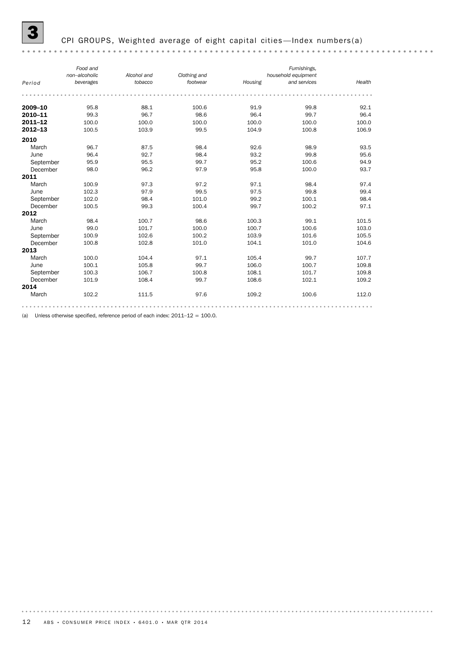## CPI GROUPS, Weighted average of eight capital cities—Index numbers(a)

|             | Food and      |             |              |         | Furnishings,        |        |
|-------------|---------------|-------------|--------------|---------|---------------------|--------|
|             | non-alcoholic | Alcohol and | Clothing and |         | household equipment |        |
| Period      | beverages     | tobacco     | footwear     | Housing | and services        | Health |
|             |               |             |              |         |                     |        |
| 2009-10     | 95.8          | 88.1        | 100.6        | 91.9    | 99.8                | 92.1   |
| 2010-11     | 99.3          | 96.7        | 98.6         | 96.4    | 99.7                | 96.4   |
| $2011 - 12$ | 100.0         | 100.0       | 100.0        | 100.0   | 100.0               | 100.0  |
| $2012 - 13$ | 100.5         | 103.9       | 99.5         | 104.9   | 100.8               | 106.9  |
| 2010        |               |             |              |         |                     |        |
| March       | 96.7          | 87.5        | 98.4         | 92.6    | 98.9                | 93.5   |
| June        | 96.4          | 92.7        | 98.4         | 93.2    | 99.8                | 95.6   |
| September   | 95.9          | 95.5        | 99.7         | 95.2    | 100.6               | 94.9   |
| December    | 98.0          | 96.2        | 97.9         | 95.8    | 100.0               | 93.7   |
| 2011        |               |             |              |         |                     |        |
| March       | 100.9         | 97.3        | 97.2         | 97.1    | 98.4                | 97.4   |
| June        | 102.3         | 97.9        | 99.5         | 97.5    | 99.8                | 99.4   |
| September   | 102.0         | 98.4        | 101.0        | 99.2    | 100.1               | 98.4   |
| December    | 100.5         | 99.3        | 100.4        | 99.7    | 100.2               | 97.1   |
| 2012        |               |             |              |         |                     |        |
| March       | 98.4          | 100.7       | 98.6         | 100.3   | 99.1                | 101.5  |
| June        | 99.0          | 101.7       | 100.0        | 100.7   | 100.6               | 103.0  |
| September   | 100.9         | 102.6       | 100.2        | 103.9   | 101.6               | 105.5  |
| December    | 100.8         | 102.8       | 101.0        | 104.1   | 101.0               | 104.6  |
| 2013        |               |             |              |         |                     |        |
| March       | 100.0         | 104.4       | 97.1         | 105.4   | 99.7                | 107.7  |
| June        | 100.1         | 105.8       | 99.7         | 106.0   | 100.7               | 109.8  |
| September   | 100.3         | 106.7       | 100.8        | 108.1   | 101.7               | 109.8  |
| December    | 101.9         | 108.4       | 99.7         | 108.6   | 102.1               | 109.2  |
| 2014        |               |             |              |         |                     |        |
| March       | 102.2         | 111.5       | 97.6         | 109.2   | 100.6               | 112.0  |
|             |               |             |              |         |                     |        |

(a) Unless otherwise specified, reference period of each index:  $2011-12 = 100.0$ .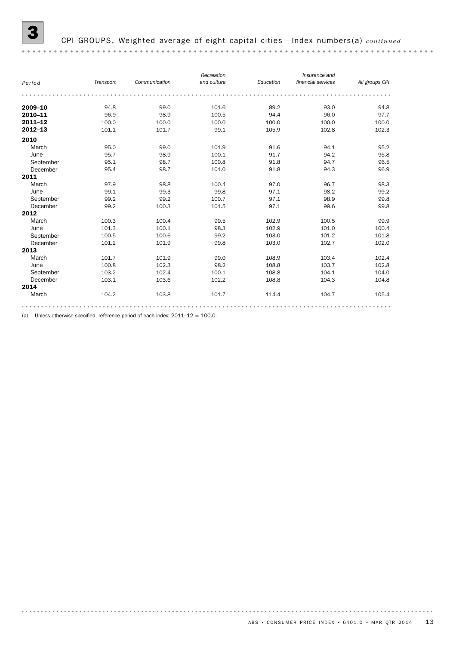| Period      | Transport | Communication | Recreation<br>and culture | Education | Insurance and<br>financial services | All groups CPI |
|-------------|-----------|---------------|---------------------------|-----------|-------------------------------------|----------------|
|             |           |               |                           |           |                                     |                |
| 2009-10     | 94.8      | 99.0          | 101.6                     | 89.2      | 93.0                                | 94.8           |
| 2010-11     | 96.9      | 98.9          | 100.5                     | 94.4      | 96.0                                | 97.7           |
| 2011-12     | 100.0     | 100.0         | 100.0                     | 100.0     | 100.0                               | 100.0          |
| $2012 - 13$ | 101.1     | 101.7         | 99.1                      | 105.9     | 102.8                               | 102.3          |
| 2010        |           |               |                           |           |                                     |                |
| March       | 95.0      | 99.0          | 101.9                     | 91.6      | 94.1                                | 95.2           |
| June        | 95.7      | 98.9          | 100.1                     | 91.7      | 94.2                                | 95.8           |
| September   | 95.1      | 98.7          | 100.8                     | 91.8      | 94.7                                | 96.5           |
| December    | 95.4      | 98.7          | 101.0                     | 91.8      | 94.3                                | 96.9           |
| 2011        |           |               |                           |           |                                     |                |
| March       | 97.9      | 98.8          | 100.4                     | 97.0      | 96.7                                | 98.3           |
| June        | 99.1      | 99.3          | 99.8                      | 97.1      | 98.2                                | 99.2           |
| September   | 99.2      | 99.2          | 100.7                     | 97.1      | 98.9                                | 99.8           |
| December    | 99.2      | 100.3         | 101.5                     | 97.1      | 99.6                                | 99.8           |
| 2012        |           |               |                           |           |                                     |                |
| March       | 100.3     | 100.4         | 99.5                      | 102.9     | 100.5                               | 99.9           |
| June        | 101.3     | 100.1         | 98.3                      | 102.9     | 101.0                               | 100.4          |
| September   | 100.5     | 100.6         | 99.2                      | 103.0     | 101.2                               | 101.8          |
| December    | 101.2     | 101.9         | 99.8                      | 103.0     | 102.7                               | 102.0          |
| 2013        |           |               |                           |           |                                     |                |
| March       | 101.7     | 101.9         | 99.0                      | 108.9     | 103.4                               | 102.4          |
| June        | 100.8     | 102.3         | 98.2                      | 108.8     | 103.7                               | 102.8          |
| September   | 103.2     | 102.4         | 100.1                     | 108.8     | 104.1                               | 104.0          |
| December    | 103.1     | 103.6         | 102.2                     | 108.8     | 104.3                               | 104.8          |
| 2014        |           |               |                           |           |                                     |                |
| March       | 104.2     | 103.8         | 101.7                     | 114.4     | 104.7                               | 105.4          |
|             |           |               |                           |           |                                     |                |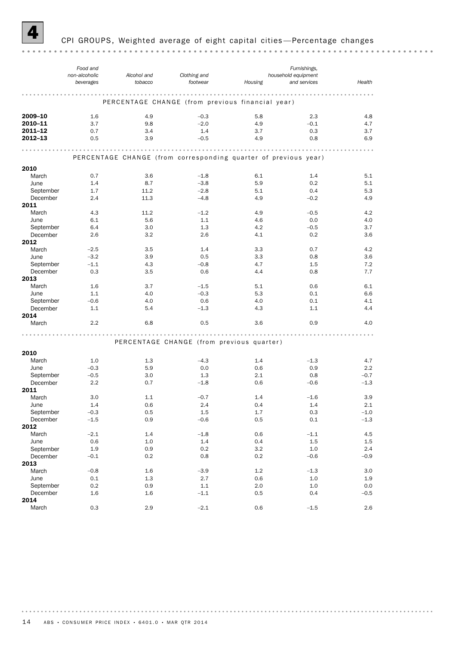

### CPI GROUPS, Weighted average of eight capital cities-Percentage changes

*Food and Furnishings, non-alcoholic Alcohol and Clothing and household equipment*<br>*Housing* and services *footwear beverages tobacco Housing and services Health* PERCENTAGE CHANGE (from previous financial year) **2009–10** 1.6 4.9  $-0.3$  5.8 2.3 4.8 **2010–11** 3.7 9.8  $-2.0$  4.9  $-0.1$  4.7 **2011–12** 0.7 3.4 1.4 3.7 0.3 3.7 **2012–13** 0.5 3.9  $-0.5$  4.9 0.8 6.9 PERCENTAGE CHANGE (from corresponding quarter of previous year) 2010 March 0.7 3.6 –1.8 6.1 1.4 5.1 June 1.4 8.7 –3.8 5.9 0.2 5.1 September 1.7 11.2 – 2.8 5.1 0.4 5.3 December 2.4 11.3 –4.8 4.9 –0.2 4.9 **2011**<br>March March 4.3 11.2 –1.2 4.9 –0.5 4.2 June 6.1 5.6 1.1 4.6 0.0 4.0 September 6.4 3.0 1.3 4.2 – 0.5 3.7 December 2.6 3.2 2.6 4.1 0.2 3.6 **2012**<br>March March  $-2.5$  3.5 1.4 3.3 0.7 4.2 March –2.5 –3.2 –3.9 – 1.1 –4.3 – 0.8 – 3.7 – 1.1 – 4.3 – 0.8 – 4.7 – 1.5 – 7.2 – 0.8 – 4.7 – 1.5 – 7.2 – 0.8 – 4.7 – 1.5 – 7.2 – 0.8 – 4.7 – 1.5 – 7.2 – 0.8 – 4.7 – 1.5 – 7.2 – 0.8 – 4.4 – 0.8 – 4.4 – 0.8 – 7.7 – 1.1 – 0. June –3.2 3.9 0.5 3.3 0.8 3.6 December 0.3 3.5 0.6 4.4 0.8 7.7 2013 March 1.6 3.7 – 1.5 5.1 0.6 6.1 June 1.1 4.0 –0.3 5.3 0.1 6.6 September –0.6 4.0 0.6 4.0 0.1 4.1 December 1.1 5.4 – 1.3 4.3 1.1 4.4 **2014**<br>March March 2.2 6.8 0.5 3.6 0.9 4.0 PERCENTAGE CHANGE (from previous quarter) 2010 March 1.0 1.3 –4.3 1.4 –1.3 4.7 June –0.3 5.9 0.0 0.6 0.9 2.2 September –0.5 3.0 1.3 2.1 0.8 –0.7 December 2.2 0.7 –1.8 0.6 –0.6 –1.3 December 2.2 0.7 –1.8 0.6 –0.6 –1.3 **2011**<br>March March 3.0 1.1 – 0.7 1.4 – 1.6 3.9 June 1.4 0.6 2.4 0.4 1.4 2.1 September –0.3 0.5 1.5 1.7 0.3 –1.0 December –1.5 0.9 –0.6 0.5 0.1 –1.3 2012 March –2.1 1.4 –1.8 0.6 –1.1 4.5 June 0.6 1.0 1.4 0.4 1.5 1.5 September 1.9 0.9 0.2 3.2 1.0 2.4 December –0.1 0.2 0.8 0.2 –0.6 –0.9 2013 March –0.8 1.6 –3.9 1.2 –1.3 3.0 June 0.1 1.3 2.7 0.6 1.0 1.9 September 0.2 0.9 1.1 2.0 1.0 0.0 0.0 December 1.6 1.6 –1.1 0.5 0.4 – 0.5 **2014**<br>March March 0.3 2.9 –2.1 0.6 –1.5 2.6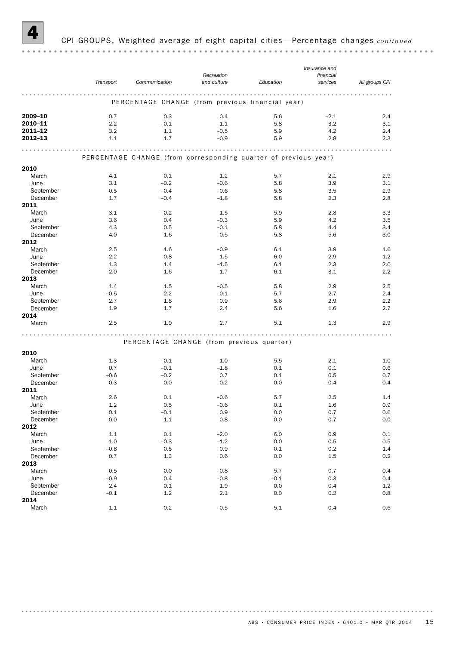

### 4 CPI GROUPS, Weighted average of eight capital cities —Percentage changes *continued*

|             |           |                                                                 |             |           | Insurance and |                |
|-------------|-----------|-----------------------------------------------------------------|-------------|-----------|---------------|----------------|
|             |           |                                                                 | Recreation  |           | financial     |                |
|             | Transport | Communication                                                   | and culture | Education | services      | All groups CPI |
|             |           |                                                                 |             |           |               |                |
|             |           | PERCENTAGE CHANGE (from previous financial year)                |             |           |               |                |
| 2009-10     | 0.7       | 0.3                                                             | 0.4         | 5.6       | $-2.1$        | 2.4            |
| 2010-11     | 2.2       | $-0.1$                                                          | $-1.1$      | 5.8       | 3.2           | 3.1            |
| $2011 - 12$ | 3.2       | 1.1                                                             | $-0.5$      | 5.9       | 4.2           | 2.4            |
| 2012-13     | 1.1       | 1.7                                                             | $-0.9$      | 5.9       | 2.8           | 2.3            |
|             |           |                                                                 |             |           |               |                |
|             |           | PERCENTAGE CHANGE (from corresponding quarter of previous year) |             |           |               |                |
| 2010        |           |                                                                 |             |           |               |                |
| March       | 4.1       | 0.1                                                             | 1.2         | 5.7       | 2.1           | 2.9            |
| June        | 3.1       | $-0.2$                                                          | $-0.6$      | 5.8       | 3.9           | 3.1            |
| September   | 0.5       | $-0.4$                                                          | $-0.6$      | 5.8       | 3.5           | 2.9            |
| December    | 1.7       | $-0.4$                                                          | $-1.8$      | 5.8       | 2.3           | 2.8            |
| 2011        |           |                                                                 |             |           |               |                |
| March       | 3.1       | $-0.2$                                                          | $-1.5$      | 5.9       | 2.8           | 3.3            |
| June        | 3.6       | 0.4                                                             | $-0.3$      | 5.9       | 4.2           | 3.5            |
| September   | 4.3       | 0.5                                                             | $-0.1$      | 5.8       | 4.4           | 3.4            |
| December    | 4.0       | 1.6                                                             | 0.5         | 5.8       | 5.6           | 3.0            |
| 2012        |           |                                                                 |             |           |               |                |
| March       | 2.5       | 1.6                                                             | $-0.9$      | 6.1       | 3.9           | 1.6            |
| June        | 2.2       | 0.8                                                             | $-1.5$      | 6.0       | 2.9           | 1.2            |
| September   | 1.3       | 1.4                                                             | $-1.5$      | 6.1       | 2.3           | 2.0            |
| December    |           |                                                                 |             | 6.1       |               | 2.2            |
|             | 2.0       | 1.6                                                             | $-1.7$      |           | 3.1           |                |
| 2013        |           |                                                                 |             |           |               |                |
| March       | 1.4       | 1.5                                                             | $-0.5$      | 5.8       | 2.9           | 2.5            |
| June        | $-0.5$    | 2.2                                                             | $-0.1$      | 5.7       | 2.7           | 2.4            |
| September   | 2.7       | 1.8                                                             | 0.9         | 5.6       | 2.9           | 2.2            |
| December    | 1.9       | 1.7                                                             | 2.4         | 5.6       | 1.6           | 2.7            |
| 2014        |           |                                                                 |             |           |               |                |
| March       | 2.5       | 1.9                                                             | 2.7         | 5.1       | 1.3           | 2.9            |
|             |           | PERCENTAGE CHANGE (from previous quarter)                       |             |           |               |                |
|             |           |                                                                 |             |           |               |                |
| 2010        |           |                                                                 |             |           |               |                |
| March       | 1.3       | $-0.1$                                                          | $-1.0$      | 5.5       | 2.1           | 1.0            |
| June        | 0.7       | $-0.1$                                                          | $-1.8$      | 0.1       | 0.1           | 0.6            |
| September   | $-0.6$    | $-0.2$                                                          | 0.7         | 0.1       | 0.5           | 0.7            |
| December    | 0.3       | 0.0                                                             | 0.2         | 0.0       | $-0.4$        | 0.4            |
| 2011        |           |                                                                 |             |           |               |                |
| March       | 2.6       | 0.1                                                             | $-0.6$      | 5.7       | 2.5           | 1.4            |
| June        | 1.2       | 0.5                                                             | $-0.6$      | 0.1       | 1.6           | 0.9            |
| September   | $0.1\,$   | $-0.1$                                                          | 0.9         | 0.0       | 0.7           | 0.6            |
| December    | $0.0\,$   | 1.1                                                             | 0.8         | 0.0       | 0.7           | 0.0            |
| 2012        |           |                                                                 |             |           |               |                |
| March       | $1.1\,$   | 0.1                                                             | $-2.0$      | 6.0       | 0.9           | 0.1            |
| June        | $1.0\,$   | $-0.3$                                                          | $-1.2$      | $0.0\,$   | 0.5           | 0.5            |
| September   | $-0.8$    | 0.5                                                             | 0.9         | 0.1       | 0.2           | 1.4            |
| December    | 0.7       | $1.3\,$                                                         | 0.6         | 0.0       | 1.5           | 0.2            |
| 2013        |           |                                                                 |             |           |               |                |
|             |           |                                                                 |             |           |               |                |
| March       | 0.5       | 0.0                                                             | $-0.8$      | 5.7       | 0.7           | $0.4\,$        |
| June        | $-0.9$    | $0.4\,$                                                         | $-0.8$      | $-0.1$    | 0.3           | 0.4            |
| September   | 2.4       | 0.1                                                             | 1.9         | 0.0       | 0.4           | 1.2            |
| December    | $-0.1$    | 1.2                                                             | $2.1\,$     | 0.0       | 0.2           | 0.8            |
| 2014        |           |                                                                 |             |           |               |                |
| March       | $1.1\,$   | $0.2\,$                                                         | $-0.5$      | $5.1\,$   | 0.4           | 0.6            |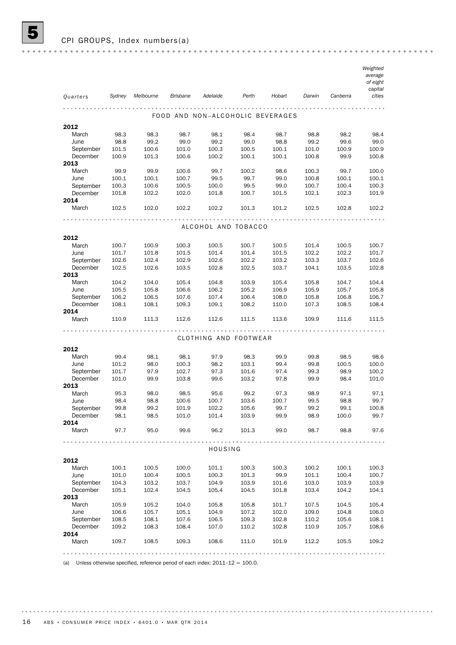|                       |                |                |                 |                                  |                |                |                |                | Weighted<br>average |
|-----------------------|----------------|----------------|-----------------|----------------------------------|----------------|----------------|----------------|----------------|---------------------|
|                       |                |                |                 |                                  |                |                |                |                | of eight            |
| Quarters              | Sydney         | Melbourne      | <b>Brisbane</b> | Adelaide                         | Perth          | Hobart         | Darwin         | Canberra       | capital<br>cities   |
|                       |                |                |                 |                                  |                |                |                |                |                     |
|                       |                |                |                 | FOOD AND NON-ALCOHOLIC BEVERAGES |                |                |                |                |                     |
| 2012                  |                |                |                 |                                  |                |                |                |                |                     |
| March                 | 98.3           | 98.3           | 98.7            | 98.1                             | 98.4           | 98.7           | 98.8           | 98.2           | 98.4                |
| June                  | 98.8           | 99.2           | 99.0            | 99.2                             | 99.0           | 98.8           | 99.2           | 99.6           | 99.0                |
| September             | 101.5          | 100.6          | 101.0           | 100.3                            | 100.5          | 100.1          | 101.0          | 100.9          | 100.9               |
| December              | 100.9          | 101.3          | 100.6           | 100.2                            | 100.1          | 100.1          | 100.8          | 99.9           | 100.8               |
| 2013                  |                |                |                 |                                  |                |                |                |                |                     |
| March                 | 99.9           | 99.9           | 100.6           | 99.7                             | 100.2          | 98.6           | 100.3          | 99.7           | 100.0               |
| June                  | 100.1          | 100.1          | 100.7           | 99.5                             | 99.7           | 99.0           | 100.8          | 100.1          | 100.1               |
| September             | 100.3          | 100.6          | 100.5           | 100.0                            | 99.5           | 99.0           | 100.7          | 100.4          | 100.3               |
| December<br>2014      | 101.8          | 102.2          | 102.0           | 101.8                            | 100.7          | 101.5          | 102.1          | 102.3          | 101.9               |
| March                 | 102.5          | 102.0          | 102.2           | 102.2                            | 101.3          | 101.2          | 102.5          | 102.8          | 102.2               |
|                       |                |                |                 |                                  |                |                |                |                |                     |
|                       |                |                |                 | ALCOHOL AND TOBACCO              |                |                |                |                |                     |
| 2012                  |                |                |                 |                                  |                |                |                |                |                     |
| March                 | 100.7          | 100.9          | 100.3           | 100.5                            | 100.7          | 100.5          | 101.4          | 100.5          | 100.7               |
| June                  | 101.7          | 101.8          | 101.5           | 101.4                            | 101.4          | 101.5          | 102.2          | 102.2          | 101.7               |
| September             | 102.6          | 102.4          | 102.9           | 102.6                            | 102.2          | 103.2          | 103.3          | 103.7          | 102.6               |
| December<br>2013      | 102.5          | 102.6          | 103.5           | 102.8                            | 102.5          | 103.7          | 104.1          | 103.5          | 102.8               |
| March                 | 104.2          | 104.0          | 105.4           | 104.8                            | 103.9          | 105.4          | 105.8          | 104.7          | 104.4               |
| June                  | 105.5          | 105.8          | 106.6           | 106.2                            | 105.2          | 106.9          | 105.9          | 105.7          | 105.8               |
| September             | 106.2          | 106.5          | 107.6           | 107.4                            | 106.4          | 108.0          | 105.8          | 106.8          | 106.7               |
| December              | 108.1          | 108.1          | 109.3           | 109.1                            | 108.2          | 110.0          | 107.3          | 108.5          | 108.4               |
| 2014                  |                |                |                 |                                  |                |                |                |                |                     |
| March                 | 110.9          | 111.3          | 112.6           | 112.6                            | 111.5          | 113.6          | 109.9          | 111.6          | 111.5               |
|                       |                |                |                 |                                  |                |                |                |                |                     |
|                       |                |                |                 | CLOTHING AND FOOTWEAR            |                |                |                |                |                     |
| 2012                  |                |                |                 |                                  |                |                |                |                |                     |
| March                 | 99.4           | 98.1           | 98.1            | 97.9                             | 98.3           | 99.9           | 99.8           | 98.5           | 98.6                |
| June                  | 101.2          | 98.0           | 100.3           | 98.2                             | 103.1          | 99.4           | 99.8           | 100.5          | 100.0               |
| September<br>December | 101.7<br>101.0 | 97.9<br>99.9   | 102.7<br>103.8  | 97.3<br>99.6                     | 101.6<br>103.2 | 97.4<br>97.8   | 99.3<br>99.9   | 98.9<br>98.4   | 100.2<br>101.0      |
| 2013                  |                |                |                 |                                  |                |                |                |                |                     |
| March                 | 95.3           | 98.0           | 98.5            | 95.6                             | 99.2           | 97.3           | 98.9           | 97.1           | 97.1                |
| June                  | 98.4           | 98.8           | 100.6           | 100.7                            | 103.6          | 100.7          | 99.5           | 98.8           | 99.7                |
| September             | 99.8           | 99.2           | 101.9           | 102.2                            | 105.6          | 99.7           | 99.2           | 99.1           | 100.8               |
| December              | 98.1           | 98.5           | 101.0           | 101.4                            | 103.9          | 99.9           | 98.9           | 100.0          | 99.7                |
| 2014                  |                |                |                 |                                  |                |                |                |                |                     |
| March                 | 97.7           | 95.0           | 99.6            | 96.2                             | 101.3          | 99.0           | 98.7           | 98.8           | 97.6                |
|                       |                |                |                 | HOUSING                          |                |                |                |                |                     |
| 2012                  |                |                |                 |                                  |                |                |                |                |                     |
| March                 | 100.1          | 100.5          | 100.0           | 101.1                            | 100.3          | 100.3          | 100.2          | 100.1          | 100.3               |
| June                  | 101.0          | 100.4          | 100.5           | 100.3                            | 101.3          | 99.9           | 101.1          | 100.4          | 100.7               |
| September             | 104.3          | 103.2          | 103.7           | 104.9                            | 103.9          | 101.6          | 103.0          | 103.9          | 103.9               |
| December              | 105.1          | 102.4          | 104.5           | 105.4                            | 104.5          | 101.8          | 103.4          | 104.2          | 104.1               |
| 2013                  |                |                |                 |                                  |                |                |                |                |                     |
| March<br>June         | 105.9          | 105.2          | 104.0           | 105.8                            | 105.8          | 101.7          | 107.5          | 104.5          | 105.4               |
| September             | 106.6<br>108.5 | 105.7<br>108.1 | 105.1<br>107.6  | 104.9<br>106.5                   | 107.2<br>109.3 | 102.0<br>102.8 | 109.0<br>110.2 | 104.8<br>105.6 | 106.0<br>108.1      |
| December              | 109.2          | 108.3          | 108.4           | 107.0                            | 110.2          | 102.8          | 110.9          | 105.7          | 108.6               |
| 2014                  |                |                |                 |                                  |                |                |                |                |                     |
| March                 | 109.7          | 108.5          | 109.3           | 108.6                            | 111.0          | 101.9          | 112.2          | 105.5          | 109.2               |
|                       |                |                |                 |                                  |                |                |                |                |                     |
|                       |                |                |                 |                                  |                |                |                |                |                     |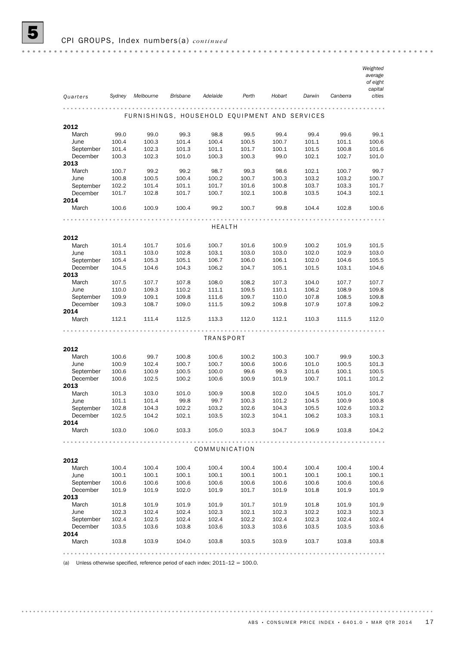|           |                |                                               |                 |                  |       |        |        |          | Weighted            |
|-----------|----------------|-----------------------------------------------|-----------------|------------------|-------|--------|--------|----------|---------------------|
|           |                |                                               |                 |                  |       |        |        |          | average<br>of eight |
|           |                |                                               |                 |                  |       |        |        |          | capital             |
| Quarters  | Sydney         | Melbourne                                     | <b>Brisbane</b> | Adelaide         | Perth | Hobart | Darwin | Canberra | cities              |
|           |                |                                               |                 |                  |       |        |        |          |                     |
|           |                | FURNISHINGS, HOUSEHOLD EQUIPMENT AND SERVICES |                 |                  |       |        |        |          |                     |
|           |                |                                               |                 |                  |       |        |        |          |                     |
| 2012      |                |                                               |                 |                  |       |        |        |          |                     |
| March     | 99.0           | 99.0                                          | 99.3            | 98.8             | 99.5  | 99.4   | 99.4   | 99.6     | 99.1                |
| June      | 100.4          | 100.3                                         | 101.4           | 100.4            | 100.5 | 100.7  | 101.1  | 101.1    | 100.6               |
| September | 101.4          | 102.3                                         | 101.3           | 101.1            | 101.7 | 100.1  | 101.5  | 100.8    | 101.6               |
| December  | 100.3          | 102.3                                         | 101.0           | 100.3            | 100.3 | 99.0   | 102.1  | 102.7    | 101.0               |
| 2013      |                |                                               |                 |                  |       |        |        |          |                     |
| March     | 100.7          | 99.2                                          | 99.2            | 98.7             | 99.3  | 98.6   | 102.1  | 100.7    | 99.7                |
| June      | 100.8          | 100.5                                         | 100.4           | 100.2            | 100.7 | 100.3  | 103.2  | 103.2    | 100.7               |
| September | 102.2          | 101.4                                         | 101.1           | 101.7            | 101.6 | 100.8  | 103.7  | 103.3    | 101.7               |
| December  | 101.7          | 102.8                                         | 101.7           | 100.7            | 102.1 | 100.8  | 103.5  | 104.3    | 102.1               |
| 2014      |                |                                               |                 |                  |       |        |        |          |                     |
| March     | 100.6          | 100.9                                         | 100.4           | 99.2             | 100.7 | 99.8   | 104.4  | 102.8    | 100.6               |
|           |                |                                               |                 |                  |       |        |        |          |                     |
|           |                |                                               |                 | <b>HEALTH</b>    |       |        |        |          |                     |
| 2012      |                |                                               |                 |                  |       |        |        |          |                     |
| March     | 101.4          | 101.7                                         | 101.6           | 100.7            | 101.6 | 100.9  | 100.2  | 101.9    | 101.5               |
| June      | 103.1          | 103.0                                         | 102.8           | 103.1            | 103.0 | 103.0  | 102.0  | 102.9    | 103.0               |
| September | 105.4          | 105.3                                         | 105.1           | 106.7            | 106.0 | 106.1  | 102.0  | 104.6    | 105.5               |
| December  | 104.5          | 104.6                                         | 104.3           | 106.2            | 104.7 | 105.1  | 101.5  | 103.1    | 104.6               |
| 2013      |                |                                               |                 |                  |       |        |        |          |                     |
| March     | 107.5          | 107.7                                         | 107.8           | 108.0            | 108.2 | 107.3  | 104.0  | 107.7    | 107.7               |
| June      | 110.0          | 109.3                                         | 110.2           | 111.1            | 109.5 | 110.1  | 106.2  | 108.9    | 109.8               |
| September |                |                                               | 109.8           | 111.6            | 109.7 | 110.0  | 107.8  |          | 109.8               |
| December  | 109.9<br>109.3 | 109.1<br>108.7                                | 109.0           |                  | 109.2 | 109.8  | 107.9  | 108.5    | 109.2               |
| 2014      |                |                                               |                 | 111.5            |       |        |        | 107.8    |                     |
| March     | 112.1          | 111.4                                         | 112.5           | 113.3            | 112.0 | 112.1  | 110.3  | 111.5    | 112.0               |
|           |                |                                               |                 |                  |       |        |        |          |                     |
|           |                |                                               |                 | <b>TRANSPORT</b> |       |        |        |          |                     |
|           |                |                                               |                 |                  |       |        |        |          |                     |
| 2012      |                |                                               |                 |                  |       |        |        |          |                     |
| March     | 100.6          | 99.7                                          | 100.8           | 100.6            | 100.2 | 100.3  | 100.7  | 99.9     | 100.3               |
| June      | 100.9          | 102.4                                         | 100.7           | 100.7            | 100.6 | 100.6  | 101.0  | 100.5    | 101.3               |
| September | 100.6          | 100.9                                         | 100.5           | 100.0            | 99.6  | 99.3   | 101.6  | 100.1    | 100.5               |
| December  | 100.6          | 102.5                                         | 100.2           | 100.6            | 100.9 | 101.9  | 100.7  | 101.1    | 101.2               |
| 2013      |                |                                               |                 |                  |       |        |        |          |                     |
| March     | 101.3          | 103.0                                         | 101.0           | 100.9            | 100.8 | 102.0  | 104.5  | 101.0    | 101.7               |
| June      | 101.1          | 101.4                                         | 99.8            | 99.7             | 100.3 | 101.2  | 104.5  | 100.9    | 100.8               |
| September | 102.8          | 104.3                                         | 102.2           | 103.2            | 102.6 | 104.3  | 105.5  | 102.6    | 103.2               |
| December  | 102.5          | 104.2                                         | 102.1           | 103.5            | 102.3 | 104.1  | 106.2  | 103.3    | 103.1               |
| 2014      |                |                                               |                 |                  |       |        |        |          |                     |
| March     | 103.0          | 106.0                                         | 103.3           | 105.0            | 103.3 | 104.7  | 106.9  | 103.8    | 104.2               |
|           |                |                                               |                 |                  |       |        |        |          |                     |
|           |                |                                               |                 | COMMUNICATION    |       |        |        |          |                     |
|           |                |                                               |                 |                  |       |        |        |          |                     |
| 2012      |                |                                               |                 |                  |       |        |        |          |                     |
| March     | 100.4          | 100.4                                         | 100.4           | 100.4            | 100.4 | 100.4  | 100.4  | 100.4    | 100.4               |
| June      | 100.1          | 100.1                                         | 100.1           | 100.1            | 100.1 | 100.1  | 100.1  | 100.1    | 100.1               |
| September | 100.6          | 100.6                                         | 100.6           | 100.6            | 100.6 | 100.6  | 100.6  | 100.6    | 100.6               |
| December  | 101.9          | 101.9                                         | 102.0           | 101.9            | 101.7 | 101.9  | 101.8  | 101.9    | 101.9               |
| 2013      |                |                                               |                 |                  |       |        |        |          |                     |
| March     | 101.8          | 101.9                                         | 101.9           | 101.9            | 101.7 | 101.9  | 101.8  | 101.9    | 101.9               |
| June      | 102.3          | 102.4                                         | 102.4           | 102.3            | 102.1 | 102.3  | 102.2  | 102.3    | 102.3               |
| September | 102.4          | 102.5                                         | 102.4           | 102.4            | 102.2 | 102.4  | 102.3  | 102.4    | 102.4               |
| December  | 103.5          | 103.6                                         | 103.8           | 103.6            | 103.3 | 103.6  | 103.5  | 103.5    | 103.6               |
| 2014      |                |                                               |                 |                  |       |        |        |          |                     |
| March     | 103.8          | 103.9                                         | 104.0           | 103.8            | 103.5 | 103.9  | 103.7  | 103.8    | 103.8               |
|           |                |                                               |                 |                  |       |        |        |          |                     |
|           |                |                                               |                 |                  |       |        |        |          |                     |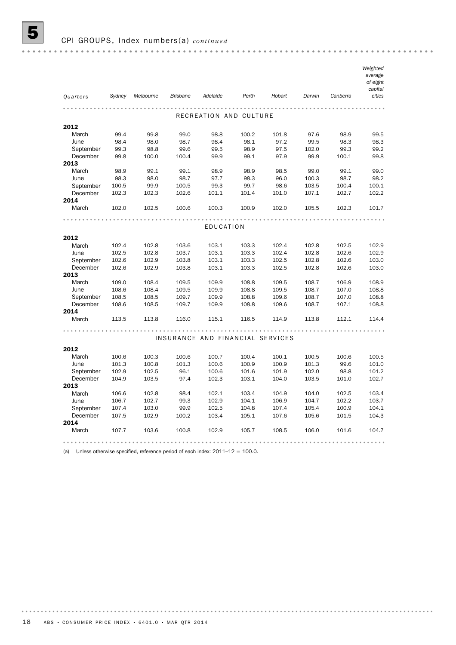|           |        |           |                 |                                  |       |        |        |          | Weighted |
|-----------|--------|-----------|-----------------|----------------------------------|-------|--------|--------|----------|----------|
|           |        |           |                 |                                  |       |        |        |          | average  |
|           |        |           |                 |                                  |       |        |        |          | of eight |
|           |        |           |                 |                                  |       |        |        |          | capital  |
| Quarters  | Sydney | Melbourne | <b>Brisbane</b> | Adelaide                         | Perth | Hobart | Darwin | Canberra | cities   |
|           |        |           |                 |                                  |       |        |        |          |          |
|           |        |           |                 | RECREATION AND CULTURE           |       |        |        |          |          |
| 2012      |        |           |                 |                                  |       |        |        |          |          |
| March     | 99.4   | 99.8      | 99.0            | 98.8                             | 100.2 | 101.8  | 97.6   | 98.9     | 99.5     |
| June      | 98.4   | 98.0      | 98.7            | 98.4                             | 98.1  | 97.2   | 99.5   | 98.3     | 98.3     |
| September | 99.3   | 98.8      | 99.6            | 99.5                             | 98.9  | 97.5   | 102.0  | 99.3     | 99.2     |
| December  | 99.8   | 100.0     | 100.4           | 99.9                             | 99.1  | 97.9   | 99.9   | 100.1    | 99.8     |
| 2013      |        |           |                 |                                  |       |        |        |          |          |
| March     | 98.9   | 99.1      | 99.1            | 98.9                             | 98.9  | 98.5   | 99.0   | 99.1     | 99.0     |
| June      | 98.3   | 98.0      | 98.7            | 97.7                             | 98.3  | 96.0   | 100.3  | 98.7     | 98.2     |
| September | 100.5  | 99.9      | 100.5           | 99.3                             | 99.7  | 98.6   | 103.5  | 100.4    | 100.1    |
| December  | 102.3  | 102.3     | 102.6           | 101.1                            | 101.4 | 101.0  | 107.1  | 102.7    | 102.2    |
| 2014      |        |           |                 |                                  |       |        |        |          |          |
| March     | 102.0  | 102.5     | 100.6           | 100.3                            | 100.9 | 102.0  | 105.5  | 102.3    | 101.7    |
|           |        |           |                 |                                  |       |        |        |          |          |
|           |        |           |                 | EDUCATION                        |       |        |        |          |          |
| 2012      |        |           |                 |                                  |       |        |        |          |          |
| March     | 102.4  | 102.8     | 103.6           | 103.1                            | 103.3 | 102.4  | 102.8  | 102.5    | 102.9    |
| June      | 102.5  | 102.8     | 103.7           | 103.1                            | 103.3 | 102.4  | 102.8  | 102.6    | 102.9    |
| September | 102.6  | 102.9     | 103.8           | 103.1                            | 103.3 | 102.5  | 102.8  | 102.6    | 103.0    |
| December  | 102.6  | 102.9     | 103.8           | 103.1                            | 103.3 | 102.5  | 102.8  | 102.6    | 103.0    |
| 2013      |        |           |                 |                                  |       |        |        |          |          |
| March     | 109.0  | 108.4     | 109.5           | 109.9                            | 108.8 | 109.5  | 108.7  | 106.9    | 108.9    |
| June      | 108.6  | 108.4     | 109.5           | 109.9                            | 108.8 | 109.5  | 108.7  | 107.0    | 108.8    |
| September | 108.5  | 108.5     | 109.7           | 109.9                            | 108.8 | 109.6  | 108.7  | 107.0    | 108.8    |
| December  | 108.6  | 108.5     | 109.7           | 109.9                            | 108.8 | 109.6  | 108.7  | 107.1    | 108.8    |
| 2014      |        |           |                 |                                  |       |        |        |          |          |
| March     | 113.5  | 113.8     | 116.0           | 115.1                            | 116.5 | 114.9  | 113.8  | 112.1    | 114.4    |
|           |        |           |                 |                                  |       |        |        |          |          |
|           |        |           |                 | INSURANCE AND FINANCIAL SERVICES |       |        |        |          |          |
| 2012      |        |           |                 |                                  |       |        |        |          |          |
| March     | 100.6  | 100.3     | 100.6           | 100.7                            | 100.4 | 100.1  | 100.5  | 100.6    | 100.5    |
| June      | 101.3  | 100.8     | 101.3           | 100.6                            | 100.9 | 100.9  | 101.3  | 99.6     | 101.0    |
| September | 102.9  | 102.5     | 96.1            | 100.6                            | 101.6 | 101.9  | 102.0  | 98.8     | 101.2    |
| December  | 104.9  | 103.5     | 97.4            | 102.3                            | 103.1 | 104.0  | 103.5  | 101.0    | 102.7    |
| 2013      |        |           |                 |                                  |       |        |        |          |          |
| March     | 106.6  | 102.8     | 98.4            | 102.1                            | 103.4 | 104.9  | 104.0  | 102.5    | 103.4    |
| June      | 106.7  | 102.7     | 99.3            | 102.9                            | 104.1 | 106.9  | 104.7  | 102.2    | 103.7    |
| September | 107.4  | 103.0     | 99.9            | 102.5                            | 104.8 | 107.4  | 105.4  | 100.9    | 104.1    |
| December  | 107.5  | 102.9     | 100.2           | 103.4                            | 105.1 | 107.6  | 105.6  | 101.5    | 104.3    |
| 2014      |        |           |                 |                                  |       |        |        |          |          |
| March     | 107.7  | 103.6     | 100.8           | 102.9                            | 105.7 | 108.5  | 106.0  | 101.6    | 104.7    |
|           |        |           |                 |                                  |       |        |        |          |          |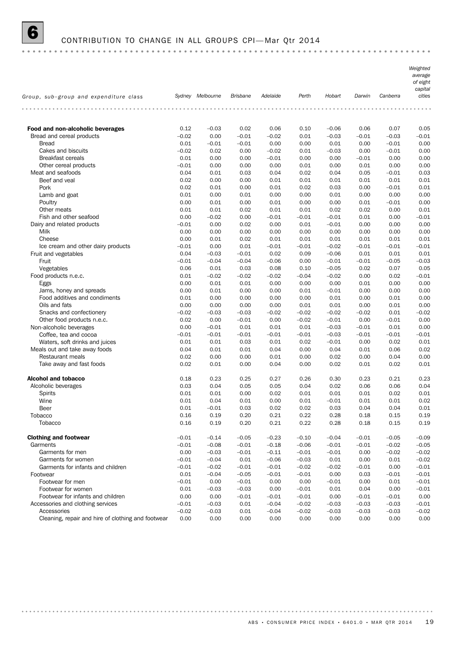

### 6 CONTRIBUTION TO CHANGE IN ALL GROUPS CPI— Mar Qtr 2014

*Weighted average of eight capital Group, sub–group and expenditure class Sydney Melbourne Brisbane Adelaide Perth Hobart Darwin Canberra cities* . . . . . . . . . . . . . . . . . . . . **Food and non-alcoholic beverages** 0.12 –0.03 0.02 0.06 0.10 –0.06 0.06 0.07 0.05 Bread and cereal products  $-0.02$   $-0.02$   $-0.01$   $-0.02$   $-0.01$   $-0.03$   $-0.03$   $-0.01$ Bread 0.01 –0.01 –0.01 0.00 0.00 0.01 0.00 –0.01 0.00 Cakes and biscuits –0.02 0.02 0.00 –0.02 0.01 –0.03 0.00 –0.01 0.00 Breakfast cereals 0.01 0.00 0.00 –0.01 0.00 0.00 –0.01 0.00 0.00 Other cereal products  $-0.01$  0.00 0.00 0.00 0.00 0.00 0.01 0.00 0.00 Meat and seafoods 0.04 0.04 0.04 0.03 0.04 0.02 0.04 0.05 –0.01 0.03 Beef and veal **beef** and veal **beef** and veal **beef** and veal **beef** and veal **beef** and veal **beef** and veal **beef** and veal **beef** and veal **beef** and veal **beef** and veal **beef** and veal **beef** and veal **beef** and veal Pork 0.02 0.01 0.00 0.01 0.02 0.03 0.00 –0.01 0.01 Lamb and goat 0.01 0.00 0.01 0.00 0.00 0.01 0.00 0.00 0.00 Poultry 0.00 0.01 0.00 0.01 0.00 0.00 0.01 –0.01 0.00 Other meats 0.01 0.01 0.02 0.01 0.01 0.02 0.02 0.00 0.01 Fish and other seafood 0.00 –0.02 0.00 –0.01 –0.01 –0.01 0.01 0.00 –0.01 Dairy and related products –0.01 0.00 0.02 0.00 0.01 –0.01 0.00 0.00 0.00 Milk 0.00 0.00 0.00 0.00 0.00 0.00 0.00 0.00 0.00 Cheese 0.00 0.01 0.02 0.01 0.01 0.01 0.01 0.01 0.01 Ice cream and other dairy products –0.01 0.00 0.01 –0.01 –0.01 –0.02 –0.01 –0.01 –0.01 Fruit and vegetables 0.04 –0.03 –0.01 0.02 0.09 –0.06 0.01 0.01 0.01 Fruit –0.01 –0.04 –0.04 –0.06 0.00 –0.01 –0.01 –0.05 –0.03 Vegetables 0.06 0.01 0.03 0.08 0.10 –0.05 0.02 0.07 0.05 Food products n.e.c. 0.01 –0.02 –0.02 –0.02 –0.04 –0.02 0.00 0.02 –0.01 Eggs 0.00 0.01 0.01 0.00 0.00 0.00 0.01 0.00 0.00 Jams, honey and spreads 0.00 0.01 0.00 0.00 0.01 –0.01 0.00 0.00 0.00 Food additives and condiments 0.01 0.00 0.00 0.00 0.00 0.01 0.00 0.01 0.00 Oils and fats 0.00 0.00 0.00 0.00 0.01 0.01 0.00 0.01 0.00 Snacks and confectionery –0.02 –0.03 –0.03 –0.02 –0.02 –0.02 –0.02 0.01 –0.02 Other food products n.e.c. **0.02** 0.00 –0.01 0.00 –0.02 –0.01 0.00 –0.01 0.00 Non-alcoholic beverages 0.00 –0.01 0.01 0.01 0.01 –0.03 –0.01 0.01 0.00 Coffee, tea and cocoa  $-0.01$   $-0.01$   $-0.01$   $-0.01$   $-0.01$   $-0.01$   $-0.03$   $-0.01$   $-0.01$   $-0.01$ Waters, soft drinks and juices **0.01** 0.01 0.01 0.03 0.01 0.02 –0.01 0.00 0.02 0.01 Meals out and take away foods 6.02 min book 0.04 0.01 0.01 0.04 0.00 0.04 0.00 0.04 0.02 0.02 Restaurant meals 0.02 0.00 0.00 0.01 0.00 0.02 0.00 0.04 0.00 Take away and fast foods 0.02 0.01 0.00 0.04 0.00 0.02 0.01 0.02 0.01 **Alcohol and tobacco** 2002 2018 0.18 0.23 0.25 0.27 0.26 0.30 0.23 0.21 0.23 Alcoholic beverages 0.04 0.03 0.04 0.05 0.04 0.05 0.04 0.02 0.06 0.04 0.02 0.06 0.04 0.02 0.01 0.01 0.02 0.01 Spirits 0.01 0.01 0.00 0.02 0.01 0.01 0.01 0.02 0.01 Wine 0.01 0.04 0.01 0.00 0.01 –0.01 0.01 0.01 0.02 Beer 0.01 –0.01 0.03 0.02 0.02 0.03 0.04 0.04 0.01 Tobacco 0.16 0.19 0.20 0.21 0.22 0.28 0.18 0.15 0.19 Tobacco 0.16 0.19 0.20 0.21 0.22 0.28 0.18 0.15 0.19 **Clothing and footwear**  $-0.01$   $-0.14$   $-0.05$   $-0.23$   $-0.10$   $-0.04$   $-0.01$   $-0.05$   $-0.09$ Garments –0.01 –0.08 –0.01 –0.18 –0.06 –0.01 –0.01 –0.02 –0.05 Garments for men 0.00 –0.03 –0.01 –0.11 –0.01 –0.01 0.00 –0.02 –0.02 Garments for women  $-0.01$   $-0.04$  0.01  $-0.06$   $-0.03$  0.01 0.00 0.01  $-0.02$ Garments for infants and children  $-0.01$   $-0.02$   $-0.01$   $-0.01$   $-0.02$   $-0.02$   $-0.02$   $-0.01$  0.00  $-0.01$ Footwear 0.01 –0.04 –0.05 –0.01 –0.01 0.00 0.03 –0.01 –0.01 Footwear for men –0.01 0.00 –0.01 0.00 0.00 –0.01 0.00 0.01 –0.01 Footwear for women 0.01 –0.03 –0.03 0.00 –0.01 0.01 0.04 0.00 –0.01 Footwear for infants and children 0.00 0.00 –0.01 –0.01 –0.01 0.00 –0.01 –0.01 0.00 Accessories and clothing services  $-0.01$   $-0.03$  0.01  $-0.04$   $-0.02$   $-0.03$   $-0.03$   $-0.03$   $-0.01$ 

Cleaning, repair and hire of clothing and footwear 0.00 0.00 0.00 0.00 0.00 0.00 0.00 0.00 0.00 Accessories –0.02 –0.03 0.01 –0.04 –0.02 –0.03 –0.03 –0.03 –0.02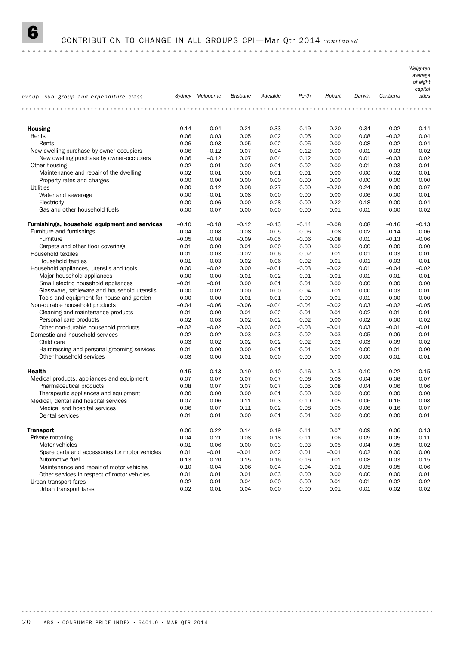

# 6 CONTRIBUTION TO CHANGE IN ALL GROUPS CPI— Mar Qtr 2014 *continued*

|                                                |         |                  |                 |          |         |         |         |          | Weighted<br>average<br>of eight<br>capital |
|------------------------------------------------|---------|------------------|-----------------|----------|---------|---------|---------|----------|--------------------------------------------|
| Group, sub-group and expenditure class         |         | Sydney Melbourne | <b>Brisbane</b> | Adelaide | Perth   | Hobart  | Darwin  | Canberra | cities                                     |
|                                                |         |                  |                 |          |         |         |         |          |                                            |
| <b>Housing</b>                                 | 0.14    | 0.04             | 0.21            | 0.33     | 0.19    | $-0.20$ | 0.34    | $-0.02$  | 0.14                                       |
| Rents                                          | 0.06    | 0.03             | 0.05            | 0.02     | 0.05    | 0.00    | 0.08    | $-0.02$  | 0.04                                       |
| Rents                                          | 0.06    | 0.03             | 0.05            | 0.02     | 0.05    | 0.00    | 0.08    | $-0.02$  | 0.04                                       |
| New dwelling purchase by owner-occupiers       | 0.06    | $-0.12$          | 0.07            | 0.04     | 0.12    | 0.00    | 0.01    | $-0.03$  | 0.02                                       |
| New dwelling purchase by owner-occupiers       | 0.06    | $-0.12$          | 0.07            | 0.04     | 0.12    | 0.00    | 0.01    | $-0.03$  | 0.02                                       |
| Other housing                                  | 0.02    | 0.01             | 0.00            | 0.01     | 0.02    | 0.00    | 0.01    | 0.03     | 0.01                                       |
| Maintenance and repair of the dwelling         | 0.02    | 0.01             | 0.00            | 0.01     | 0.01    | 0.00    | 0.00    | 0.02     | 0.01                                       |
| Property rates and charges                     | 0.00    | 0.00             | 0.00            | 0.00     | 0.00    | 0.00    | 0.00    | 0.00     | 0.00                                       |
| Utilities                                      | 0.00    | 0.12             | 0.08            | 0.27     | 0.00    | $-0.20$ | 0.24    | 0.00     | 0.07                                       |
| Water and sewerage                             | 0.00    | $-0.01$          | 0.08            | 0.00     | 0.00    | 0.00    | 0.06    | 0.00     | 0.01                                       |
| Electricity                                    | 0.00    | 0.06             | 0.00            | 0.28     | 0.00    | $-0.22$ | 0.18    | 0.00     | 0.04                                       |
| Gas and other household fuels                  | 0.00    | 0.07             | 0.00            | 0.00     | 0.00    | 0.01    | 0.01    | 0.00     | 0.02                                       |
| Furnishings, household equipment and services  | $-0.10$ | $-0.18$          | $-0.12$         | $-0.13$  | $-0.14$ | $-0.08$ | 0.08    | $-0.16$  | $-0.13$                                    |
| Furniture and furnishings                      | $-0.04$ | $-0.08$          | $-0.08$         | $-0.05$  | $-0.06$ | $-0.08$ | 0.02    | $-0.14$  | $-0.06$                                    |
| Furniture                                      | $-0.05$ | $-0.08$          | $-0.09$         | $-0.05$  | $-0.06$ | $-0.08$ | 0.01    | $-0.13$  | $-0.06$                                    |
| Carpets and other floor coverings              | 0.01    | 0.00             | 0.01            | 0.00     | 0.00    | 0.00    | 0.00    | 0.00     | 0.00                                       |
| Household textiles                             | 0.01    | $-0.03$          | $-0.02$         | $-0.06$  | $-0.02$ | 0.01    | $-0.01$ | $-0.03$  | $-0.01$                                    |
| Household textiles                             | 0.01    | $-0.03$          | $-0.02$         | $-0.06$  | $-0.02$ | 0.01    | $-0.01$ | $-0.03$  | $-0.01$                                    |
| Household appliances, utensils and tools       | 0.00    | $-0.02$          | 0.00            | $-0.01$  | $-0.03$ | $-0.02$ | 0.01    | $-0.04$  | $-0.02$                                    |
| Major household appliances                     | 0.00    | 0.00             | $-0.01$         | $-0.02$  | 0.01    | $-0.01$ | 0.01    | $-0.01$  | $-0.01$                                    |
| Small electric household appliances            | $-0.01$ | $-0.01$          | 0.00            | 0.01     | 0.01    | 0.00    | 0.00    | 0.00     | 0.00                                       |
| Glassware, tableware and household utensils    | 0.00    | $-0.02$          | 0.00            | 0.00     | $-0.04$ | $-0.01$ | 0.00    | $-0.03$  | $-0.01$                                    |
| Tools and equipment for house and garden       | 0.00    | 0.00             | 0.01            | 0.01     | 0.00    | 0.01    | 0.01    | 0.00     | 0.00                                       |
| Non-durable household products                 | $-0.04$ | $-0.06$          | $-0.06$         | $-0.04$  | $-0.04$ | $-0.02$ | 0.03    | $-0.02$  | $-0.05$                                    |
| Cleaning and maintenance products              | $-0.01$ | 0.00             | $-0.01$         | $-0.02$  | $-0.01$ | $-0.01$ | $-0.02$ | $-0.01$  | $-0.01$                                    |
| Personal care products                         | $-0.02$ | $-0.03$          | $-0.02$         | $-0.02$  | $-0.02$ | 0.00    | 0.02    | 0.00     | $-0.02$                                    |
| Other non-durable household products           | $-0.02$ | $-0.02$          | $-0.03$         | 0.00     | $-0.03$ | $-0.01$ | 0.03    | $-0.01$  | $-0.01$                                    |
| Domestic and household services                | $-0.02$ | 0.02             | 0.03            | 0.03     | 0.02    | 0.03    | 0.05    | 0.09     | 0.01                                       |
| Child care                                     | 0.03    | 0.02             | 0.02            | 0.02     | 0.02    | 0.02    | 0.03    | 0.09     | 0.02                                       |
| Hairdressing and personal grooming services    | $-0.01$ | 0.00             | 0.00            | 0.01     | 0.01    | 0.01    | 0.00    | 0.01     | 0.00                                       |
| Other household services                       | $-0.03$ | 0.00             | 0.01            | 0.00     | 0.00    | 0.00    | 0.00    | $-0.01$  | $-0.01$                                    |
| <b>Health</b>                                  | 0.15    | 0.13             | 0.19            | 0.10     | 0.16    | 0.13    | 0.10    | 0.22     | 0.15                                       |
| Medical products, appliances and equipment     | 0.07    | 0.07             | 0.07            | 0.07     | 0.06    | 0.08    | 0.04    | 0.06     | 0.07                                       |
| Pharmaceutical products                        | 0.08    | 0.07             | 0.07            | 0.07     | 0.05    | 0.08    | 0.04    | 0.06     | 0.06                                       |
| Therapeutic appliances and equipment           | 0.00    | 0.00             | 0.00            | 0.01     | 0.00    | 0.00    | 0.00    | 0.00     | 0.00                                       |
| Medical, dental and hospital services          | 0.07    | 0.06             | 0.11            | 0.03     | 0.10    | 0.05    | 0.06    | 0.16     | 0.08                                       |
| Medical and hospital services                  | 0.06    | 0.07             | 0.11            | 0.02     | 0.08    | 0.05    | 0.06    | 0.16     | 0.07                                       |
| Dental services                                | 0.01    | 0.01             | 0.00            | 0.01     | 0.01    | 0.00    | 0.00    | 0.00     | 0.01                                       |
| <b>Transport</b>                               | 0.06    | 0.22             | 0.14            | 0.19     | 0.11    | 0.07    | 0.09    | 0.06     | 0.13                                       |
| Private motoring                               | 0.04    | 0.21             | 0.08            | 0.18     | 0.11    | 0.06    | 0.09    | 0.05     | 0.11                                       |
| Motor vehicles                                 | $-0.01$ | 0.06             | 0.00            | 0.03     | $-0.03$ | 0.05    | 0.04    | 0.05     | 0.02                                       |
| Spare parts and accessories for motor vehicles | 0.01    | $-0.01$          | $-0.01$         | 0.02     | 0.01    | $-0.01$ | 0.02    | 0.00     | 0.00                                       |
| Automotive fuel                                | 0.13    | 0.20             | 0.15            | 0.16     | 0.16    | 0.01    | 0.08    | 0.03     | 0.15                                       |
| Maintenance and repair of motor vehicles       | $-0.10$ | $-0.04$          | $-0.06$         | $-0.04$  | $-0.04$ | $-0.01$ | $-0.05$ | $-0.05$  | $-0.06$                                    |
| Other services in respect of motor vehicles    | 0.01    | 0.01             | 0.01            | 0.03     | 0.00    | 0.00    | 0.00    | 0.00     | 0.01                                       |
| Urban transport fares                          | 0.02    | 0.01             | 0.04            | 0.00     | 0.00    | 0.01    | 0.01    | 0.02     | 0.02                                       |
| Urban transport fares                          | 0.02    | 0.01             | 0.04            | 0.00     | 0.00    | 0.01    | 0.01    | 0.02     | 0.02                                       |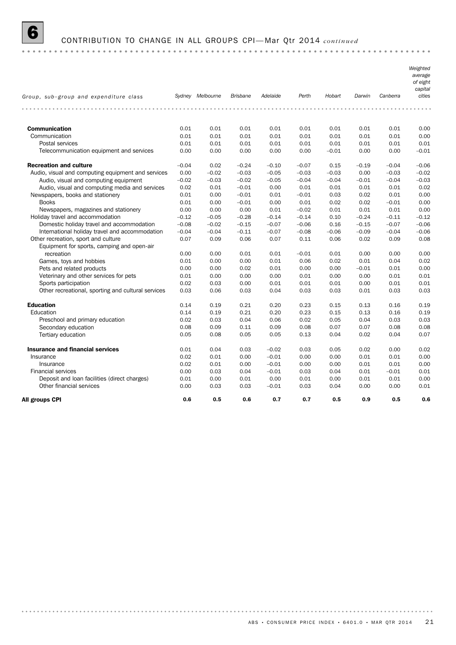

# 6 CONTRIBUTION TO CHANGE IN ALL GROUPS CPI— Mar Qtr 2014 *continued*

|                                                    |         | Sydney Melbourne | <b>Brisbane</b> | Adelaide | Perth   | Hobart  | Darwin  | Canberra | Weighted<br>average<br>of eight<br>capital<br>cities |
|----------------------------------------------------|---------|------------------|-----------------|----------|---------|---------|---------|----------|------------------------------------------------------|
| Group, sub-group and expenditure class             |         |                  |                 |          |         |         |         |          |                                                      |
|                                                    |         |                  |                 |          |         |         |         |          |                                                      |
| <b>Communication</b>                               | 0.01    | 0.01             | 0.01            | 0.01     | 0.01    | 0.01    | 0.01    | 0.01     | 0.00                                                 |
| Communication                                      | 0.01    | 0.01             | 0.01            | 0.01     | 0.01    | 0.01    | 0.01    | 0.01     | 0.00                                                 |
| Postal services                                    | 0.01    | 0.01             | 0.01            | 0.01     | 0.01    | 0.01    | 0.01    | 0.01     | 0.01                                                 |
| Telecommunication equipment and services           | 0.00    | 0.00             | 0.00            | 0.00     | 0.00    | $-0.01$ | 0.00    | 0.00     | $-0.01$                                              |
| <b>Recreation and culture</b>                      | $-0.04$ | 0.02             | $-0.24$         | $-0.10$  | $-0.07$ | 0.15    | $-0.19$ | $-0.04$  | $-0.06$                                              |
| Audio, visual and computing equipment and services | 0.00    | $-0.02$          | $-0.03$         | $-0.05$  | $-0.03$ | $-0.03$ | 0.00    | $-0.03$  | $-0.02$                                              |
| Audio, visual and computing equipment              | $-0.02$ | $-0.03$          | $-0.02$         | $-0.05$  | $-0.04$ | $-0.04$ | $-0.01$ | $-0.04$  | $-0.03$                                              |
| Audio, visual and computing media and services     | 0.02    | 0.01             | $-0.01$         | 0.00     | 0.01    | 0.01    | 0.01    | 0.01     | 0.02                                                 |
| Newspapers, books and stationery                   | 0.01    | 0.00             | $-0.01$         | 0.01     | $-0.01$ | 0.03    | 0.02    | 0.01     | 0.00                                                 |
| <b>Books</b>                                       | 0.01    | 0.00             | $-0.01$         | 0.00     | 0.01    | 0.02    | 0.02    | $-0.01$  | 0.00                                                 |
| Newspapers, magazines and stationery               | 0.00    | 0.00             | 0.00            | 0.01     | $-0.02$ | 0.01    | 0.01    | 0.01     | 0.00                                                 |
| Holiday travel and accommodation                   | $-0.12$ | $-0.05$          | $-0.28$         | $-0.14$  | $-0.14$ | 0.10    | $-0.24$ | $-0.11$  | $-0.12$                                              |
| Domestic holiday travel and accommodation          | $-0.08$ | $-0.02$          | $-0.15$         | $-0.07$  | $-0.06$ | 0.16    | $-0.15$ | $-0.07$  | $-0.06$                                              |
| International holiday travel and accommodation     | $-0.04$ | $-0.04$          | $-0.11$         | $-0.07$  | $-0.08$ | $-0.06$ | $-0.09$ | $-0.04$  | $-0.06$                                              |
| Other recreation, sport and culture                | 0.07    | 0.09             | 0.06            | 0.07     | 0.11    | 0.06    | 0.02    | 0.09     | 0.08                                                 |
| Equipment for sports, camping and open-air         |         |                  |                 |          |         |         |         |          |                                                      |
| recreation                                         | 0.00    | 0.00             | 0.01            | 0.01     | $-0.01$ | 0.01    | 0.00    | 0.00     | 0.00                                                 |
| Games, toys and hobbies                            | 0.01    | 0.00             | 0.00            | 0.01     | 0.06    | 0.02    | 0.01    | 0.04     | 0.02                                                 |
| Pets and related products                          | 0.00    | 0.00             | 0.02            | 0.01     | 0.00    | 0.00    | $-0.01$ | 0.01     | 0.00                                                 |
| Veterinary and other services for pets             | 0.01    | 0.00             | 0.00            | 0.00     | 0.01    | 0.00    | 0.00    | 0.01     | 0.01                                                 |
| Sports participation                               | 0.02    | 0.03             | 0.00            | 0.01     | 0.01    | 0.01    | 0.00    | 0.01     | 0.01                                                 |
| Other recreational, sporting and cultural services | 0.03    | 0.06             | 0.03            | 0.04     | 0.03    | 0.03    | 0.01    | 0.03     | 0.03                                                 |
| <b>Education</b>                                   | 0.14    | 0.19             | 0.21            | 0.20     | 0.23    | 0.15    | 0.13    | 0.16     | 0.19                                                 |
| Education                                          | 0.14    | 0.19             | 0.21            | 0.20     | 0.23    | 0.15    | 0.13    | 0.16     | 0.19                                                 |
| Preschool and primary education                    | 0.02    | 0.03             | 0.04            | 0.06     | 0.02    | 0.05    | 0.04    | 0.03     | 0.03                                                 |
| Secondary education                                | 0.08    | 0.09             | 0.11            | 0.09     | 0.08    | 0.07    | 0.07    | 0.08     | 0.08                                                 |
| Tertiary education                                 | 0.05    | 0.08             | 0.05            | 0.05     | 0.13    | 0.04    | 0.02    | 0.04     | 0.07                                                 |
| <b>Insurance and financial services</b>            | 0.01    | 0.04             | 0.03            | $-0.02$  | 0.03    | 0.05    | 0.02    | 0.00     | 0.02                                                 |
| Insurance                                          | 0.02    | 0.01             | 0.00            | $-0.01$  | 0.00    | 0.00    | 0.01    | 0.01     | 0.00                                                 |
| Insurance                                          | 0.02    | 0.01             | 0.00            | $-0.01$  | 0.00    | 0.00    | 0.01    | 0.01     | 0.00                                                 |
| <b>Financial services</b>                          | 0.00    | 0.03             | 0.04            | $-0.01$  | 0.03    | 0.04    | 0.01    | $-0.01$  | 0.01                                                 |
| Deposit and loan facilities (direct charges)       | 0.01    | 0.00             | 0.01            | 0.00     | 0.01    | 0.00    | 0.01    | 0.01     | 0.00                                                 |
| Other financial services                           | 0.00    | 0.03             | 0.03            | $-0.01$  | 0.03    | 0.04    | 0.00    | 0.00     | 0.01                                                 |
| All groups CPI                                     | 0.6     | 0.5              | 0.6             | 0.7      | 0.7     | 0.5     | 0.9     | 0.5      | 0.6                                                  |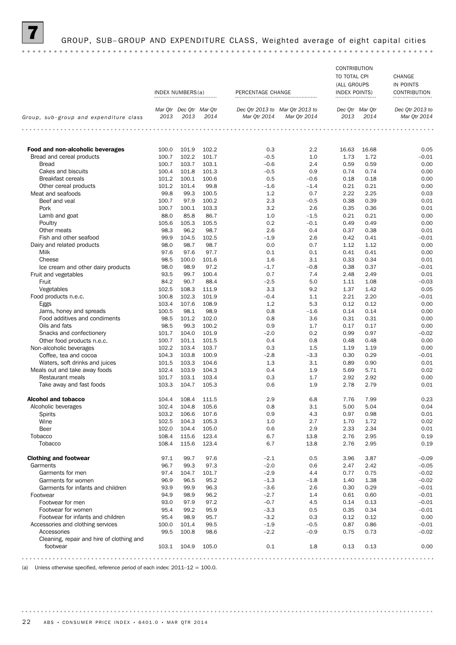### GROUP, SUB-GROUP AND EXPENDITURE CLASS, Weighted average of eight capital cities

### CONTRIBUTION TO TOTAL CPI CHANGE (ALL GROUPS IN POINTS INDEX NUMBERS(a) PERCENTAGE CHANGE INDEX POINTS CONTRIBUTION *Mar Qtr Dec Qtr Mar Qtr Mar Qtr 2013 to Dec Qtr 2013 to Mar Qtr Dec Qtr Dec Qtr 2013 to Group, sub–group and expenditure class 2014 2013 2013 Mar Qtr 2014 Mar Qtr 2014 2014 2013 Mar Qtr 2014* **Food and non-alcoholic beverages** 100.0 101.9 102.2 0.3 2.2 16.63 16.68 0.05 Bread and cereal products 100.7 102.2 101.7  $-0.5$  1.0 1.73 1.72  $-0.01$ <br>Bread 100.7 103.7 103.7 103.1  $-0.6$  2.4 0.59 0.59 0.00 Bread 100.7 103.7 103.1 –0.6 2.4 0.59 0.59 0.00 Cakes and biscuits 100.4 100.4 101.8 101.3 – 0.5 0.9 0.74 0.74 0.00 Breakfast cereals **101.2** 100.1 100.6 0.5 -0.6 0.18 0.18 0.00 0.00 Other cereal products 101.2 101.4 99.8 -1.6 -1.4 0.21 0.21 0.21 0.00 Meat and seafoods **12.23** 100.5 1.2 1.2 1.2 1.2 2.22 2.25 1.00.3 Beef and veal 100.7 97.9 100.2 12.3 –0.5 0.38 0.39 0.01 Pork 100.7 100.1 103.3 3.2 2.6 0.35 0.36 0.01 Lamb and goat 68.0 68.0 88.0 85.8 86.7 1.0 -1.5 0.21 0.21 0.00 Poultry 105.6 105.3 105.5 0.2 –0.1 0.49 0.49 0.00 Other meats 98.3 96.2 98.7 2.6 0.4 0.37 0.38 0.01 Fish and other seafood 99.9 104.5 102.5 –1.9 2.6 0.42 0.41 –0.01 Dairy and related products 98.0 98.7 98.7 0.0 0.7 1.12 1.12 0.00 Milk 97.6 97.6 97.7 0.1 0.1 0.41 0.41 0.00 Cheese 98.5 100.0 101.6 1.6 3.1 0.33 0.34 0.01 Ice cream and other dairy products 98.0 98.9 97.2 –1.7 –0.8 0.38 0.37 –0.01 Fruit and vegetables 93.5 99.7 100.4 0.7 7.4 2.48 2.49 0.01 Fruit 84.2 90.7 88.4 –2.5 5.0 1.11 1.08 –0.03 Vegetables 102.5 108.3 111.9 3.3 9.2 1.37 1.42 0.05 Food products n.e.c. 100.8 102.3 101.9 –0.4 1.1 2.21 2.20 –0.01 Eggs 103.4 107.6 108.9 1.2 5.3 0.12 0.12 0.00 Jams, honey and spreads **100.5** 98.1 98.9 **0.8** –1.6 0.14 0.14 0.14 0.00 Food additives and condiments 98.5 101.2 102.0 0.8 3.6 0.31 0.31 0.00 Oils and fats 98.5 99.3 100.2 0.9 1.7 0.17 0.17 0.00 Snacks and confectionery 101.7 104.0 101.9 –2.0 0.2 0.99 0.97 –0.02 Other food products n.e.c. 100.7 101.1 101.5 0.4 0.8 0.48 0.48 0.48 0.00 Non-alcoholic beverages 102.2 103.4 103.7 0.3 1.5 1.19 1.19 0.00 Coffee, tea and cocoa 104.3 103.8 100.9 –2.8 –3.3 0.30 0.29 –0.01 Waters, soft drinks and juices **101.5 103.3 104.6** 1.3 3.1 0.89 0.90 0.01 0.01 Meals out and take away foods 102.4 103.9 104.3 0.4 1.9 5.69 5.71 0.02 Restaurant meals **101.7** 103.1 103.4 0.3 1.7 2.92 2.92 0.00 Take away and fast foods **103.3 104.7 105.3** 0.6 1.9 2.78 2.79 0.01 **Alcohol and tobacco** 104.4 108.4 111.5 2.9 6.8 7.76 7.99 0.23 Alcoholic beverages 102.4 104.8 105.6 0.8 3.1 5.00 5.04 0.04 0.04 Spirits 103.2 106.6 107.6 0.9 4.3 0.97 0.98 0.01 Wine 102.5 104.3 105.3 1.0 2.7 1.70 1.72 0.02 Beer 102.0 104.4 105.0 0.6 2.9 2.33 2.34 0.01 Tobacco 108.4 115.6 123.4 6.7 13.8 2.76 2.95 0.19 Tobacco 108.4 115.6 123.4 6.7 13.8 2.76 2.95 0.19 **Clothing and footwear**  $97.1$   $99.7$   $97.6$   $-2.1$  0.5  $3.96$   $3.87$   $-0.09$ Garments 96.7 99.3 97.3 –2.0 0.6 2.47 2.42 –0.05 Garments for men **60.02 Figure 104.7 104.7** 101.7 (101.7 – 2.9 a.4 co.77 0.75 – 0.02 Garments for women 30.9 96.9 96.5 95.2 – 1.3 – 1.8 1.40 1.38 – 0.02 Garments for infants and children  $93.9$   $99.9$   $96.3$   $-3.6$   $2.6$  0.30 0.29  $-0.01$ <br>
94.9  $98.9$   $96.2$   $-2.7$   $1.4$  0.61 0.60  $-0.01$ Footwear 94.9 98.9 96.2 –2.7 1.4 0.61 0.60 –0.01 Footwear for men 93.0 97.9 97.2 –0.7 4.5 0.14 0.13 –0.01 Footwear for women 95.4 99.2 95.9 –3.3 0.5 0.35 0.34 –0.01 Footwear for infants and children  $95.4$   $98.9$   $95.7$   $-3.2$  0.3 0.12 0.12 0.12 0.00 Accessories and clothing services 100.0 101.4 99.5 –1.9 –0.5 0.87 0.86 –0.01 Accessories 99.5 100.8 98.6 –2.2 –0.9 0.75 0.73 –0.02 Cleaning, repair and hire of clothing and footwear 103.1 104.9 105.0 0.1 1.8 0.13 0.13 0.00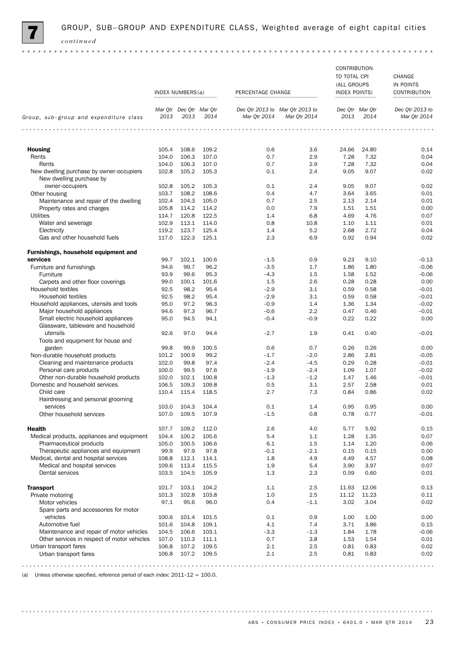

|                                                                           | INDEX NUMBERS(a) |                                 |                | PERCENTAGE CHANGE |                                                 | CONTRIBUTION<br>TO TOTAL CPI<br>(ALL GROUPS<br>INDEX POINTS) |                         | CHANGE<br>IN POINTS<br>CONTRIBUTION |  |
|---------------------------------------------------------------------------|------------------|---------------------------------|----------------|-------------------|-------------------------------------------------|--------------------------------------------------------------|-------------------------|-------------------------------------|--|
|                                                                           |                  |                                 |                |                   |                                                 |                                                              |                         |                                     |  |
| Group, sub-group and expenditure class                                    | 2013             | Mar Otr Dec Otr Mar Otr<br>2013 | 2014           | Mar Qtr 2014      | Dec Qtr 2013 to Mar Qtr 2013 to<br>Mar Qtr 2014 | 2013                                                         | Dec Otr Mar Otr<br>2014 | Dec Otr 2013 to<br>Mar Qtr 2014     |  |
| .                                                                         | .                |                                 |                | .                 | .                                               | .                                                            |                         |                                     |  |
| <b>Housing</b>                                                            | 105.4            | 108.6                           | 109.2          | 0.6               | 3.6                                             | 24.66                                                        | 24.80                   | 0.14                                |  |
| Rents                                                                     | 104.0            | 106.3                           | 107.0          | 0.7               | 2.9                                             | 7.28                                                         | 7.32                    | 0.04                                |  |
| Rents                                                                     | 104.0            | 106.3                           | 107.0          | 0.7               | 2.9                                             | 7.28                                                         | 7.32                    | 0.04                                |  |
| New dwelling purchase by owner-occupiers<br>New dwelling purchase by      | 102.8            | 105.2                           | 105.3          | 0.1               | 2.4                                             | 9.05                                                         | 9.07                    | 0.02                                |  |
| owner-occupiers                                                           | 102.8            | 105.2                           | 105.3          | 0.1               | 2.4                                             | 9.05                                                         | 9.07                    | 0.02                                |  |
| Other housing                                                             | 103.7            | 108.2                           | 108.6          | 0.4               | 4.7                                             | 3.64                                                         | 3.65                    | 0.01                                |  |
| Maintenance and repair of the dwelling                                    | 102.4            | 104.3                           | 105.0          | 0.7               | 2.5                                             | 2.13                                                         | 2.14                    | 0.01                                |  |
| Property rates and charges                                                | 105.8            | 114.2                           | 114.2          | 0.0               | 7.9                                             | 1.51                                                         | 1.51                    | 0.00                                |  |
| <b>Utilities</b>                                                          | 114.7            | 120.8                           | 122.5          | 1.4               | 6.8                                             | 4.69                                                         | 4.76                    | 0.07                                |  |
| Water and sewerage                                                        | 102.9            | 113.1<br>123.7                  | 114.0          | 0.8               | 10.8<br>5.2                                     | 1.10                                                         | 1.11<br>2.72            | 0.01<br>0.04                        |  |
| Electricity<br>Gas and other household fuels                              | 119.2<br>117.0   | 122.3                           | 125.4<br>125.1 | 1.4<br>2.3        | 6.9                                             | 2.68<br>0.92                                                 | 0.94                    | 0.02                                |  |
| Furnishings, household equipment and                                      |                  |                                 |                |                   |                                                 |                                                              |                         |                                     |  |
| services                                                                  | 99.7             | 102.1                           | 100.6          | $-1.5$            | 0.9                                             | 9.23                                                         | 9.10                    | $-0.13$                             |  |
| Furniture and furnishings                                                 | 94.6             | 99.7                            | 96.2           | $-3.5$            | 1.7                                             | 1.86                                                         | 1.80                    | $-0.06$                             |  |
| Furniture                                                                 | 93.9             | 99.6                            | 95.3           | $-4.3$            | 1.5                                             | 1.58                                                         | 1.52                    | $-0.06$                             |  |
| Carpets and other floor coverings                                         | 99.0             | 100.1                           | 101.6          | 1.5               | 2.6                                             | 0.28                                                         | 0.28                    | 0.00                                |  |
| Household textiles                                                        | 92.5             | 98.2                            | 95.4           | $-2.9$            | 3.1                                             | 0.59                                                         | 0.58                    | $-0.01$                             |  |
| Household textiles                                                        | 92.5             | 98.2                            | 95.4           | $-2.9$            | 3.1                                             | 0.59                                                         | 0.58                    | $-0.01$                             |  |
| Household appliances, utensils and tools                                  | 95.0             | 97.2                            | 96.3           | $-0.9$            | 1.4                                             | 1.36                                                         | 1.34                    | $-0.02$                             |  |
| Major household appliances                                                | 94.6             | 97.3                            | 96.7           | $-0.6$            | 2.2                                             | 0.47                                                         | 0.46                    | $-0.01$                             |  |
| Small electric household appliances<br>Glassware, tableware and household | 95.0             | 94.5                            | 94.1           | $-0.4$            | $-0.9$                                          | 0.22                                                         | 0.22                    | 0.00                                |  |
| utensils<br>Tools and equipment for house and                             | 92.6             | 97.0                            | 94.4           | $-2.7$            | 1.9                                             | 0.41                                                         | 0.40                    | $-0.01$                             |  |
| garden                                                                    | 99.8             | 99.9                            | 100.5          | 0.6               | 0.7                                             | 0.26                                                         | 0.26                    | 0.00                                |  |
| Non-durable household products                                            | 101.2            | 100.9                           | 99.2           | $-1.7$            | $-2.0$                                          | 2.86                                                         | 2.81                    | $-0.05$                             |  |
| Cleaning and maintenance products                                         | 102.0            | 99.8                            | 97.4           | $-2.4$            | $-4.5$                                          | 0.29                                                         | 0.28                    | $-0.01$                             |  |
| Personal care products                                                    | 100.0            | 99.5                            | 97.6           | $-1.9$            | $-2.4$                                          | 1.09                                                         | 1.07                    | $-0.02$                             |  |
| Other non-durable household products                                      | 102.0            | 102.1                           | 100.8          | $-1.3$            | $-1.2$                                          | 1.47                                                         | 1.46                    | $-0.01$                             |  |
| Domestic and household services                                           | 106.5            | 109.3                           | 109.8          | 0.5               | 3.1                                             | 2.57                                                         | 2.58                    | 0.01                                |  |
| Child care<br>Hairdressing and personal grooming                          | 110.4            | 115.4                           | 118.5          | 2.7               | 7.3                                             | 0.84                                                         | 0.86                    | 0.02                                |  |
| services<br>Other household services                                      | 107.0            | 103.0 104.3 104.4<br>109.5      | 107.9          | 0.1<br>$-1.5$     | 1.4<br>0.8                                      | 0.95<br>0.78                                                 | 0.95<br>0.77            | 0.00<br>$-0.01$                     |  |
|                                                                           |                  |                                 |                |                   |                                                 |                                                              |                         |                                     |  |
| <b>Health</b>                                                             | 107.7            | 109.2                           | 112.0          | 2.6               | 4.0                                             | 5.77                                                         | 5.92                    | 0.15                                |  |
| Medical products, appliances and equipment                                | 104.4            | 100.2                           | 105.6          | 5.4               | 1.1                                             | 1.28                                                         | 1.35                    | 0.07                                |  |
| Pharmaceutical products                                                   | 105.0            | 100.5                           | 106.6          | 6.1               | 1.5                                             | 1.14                                                         | 1.20                    | 0.06                                |  |
| Therapeutic appliances and equipment                                      | 99.9             | 97.9                            | 97.8           | $-0.1$            | $-2.1$                                          | 0.15                                                         | 0.15                    | 0.00                                |  |
| Medical, dental and hospital services                                     | 108.8            | 112.1                           | 114.1          | 1.8               | 4.9                                             | 4.49                                                         | 4.57                    | 0.08                                |  |
| Medical and hospital services<br>Dental services                          | 109.6<br>103.5   | 113.4<br>104.5                  | 115.5<br>105.9 | 1.9<br>1.3        | 5.4<br>2.3                                      | 3.90<br>0.59                                                 | 3.97<br>0.60            | 0.07<br>0.01                        |  |
|                                                                           |                  |                                 |                |                   |                                                 |                                                              |                         |                                     |  |
| <b>Transport</b>                                                          | 101.7            | 103.1                           | 104.2          | 1.1               | 2.5                                             | 11.93                                                        | 12.06                   | 0.13                                |  |
| Private motoring                                                          | 101.3            | 102.8                           | 103.8          | 1.0               | 2.5                                             | 11.12                                                        | 11.23                   | 0.11                                |  |
| Motor vehicles<br>Spare parts and accessories for motor                   | 97.1             | 95.6                            | 96.0           | 0.4               | $-1.1$                                          | 3.02                                                         | 3.04                    | 0.02                                |  |
| vehicles                                                                  | 100.6            | 101.4                           | 101.5          | 0.1               | 0.9                                             | 1.00                                                         | 1.00                    | 0.00                                |  |
| Automotive fuel                                                           | 101.6            | 104.8                           | 109.1          | 4.1               | 7.4                                             | 3.71                                                         | 3.86                    | 0.15                                |  |
| Maintenance and repair of motor vehicles                                  | 104.5            | 106.6                           | 103.1          | $-3.3$            | $-1.3$                                          | 1.84                                                         | 1.78                    | $-0.06$                             |  |
| Other services in respect of motor vehicles<br>Urban transport fares      | 107.0<br>106.8   | 110.3<br>107.2                  | 111.1<br>109.5 | 0.7<br>2.1        | 3.8<br>2.5                                      | 1.53<br>0.81                                                 | 1.54<br>0.83            | 0.01<br>0.02                        |  |
| Urban transport fares                                                     | 106.8            | 107.2                           | 109.5          | 2.1               | 2.5                                             | 0.81                                                         | 0.83                    | 0.02                                |  |
|                                                                           |                  |                                 |                |                   |                                                 |                                                              |                         |                                     |  |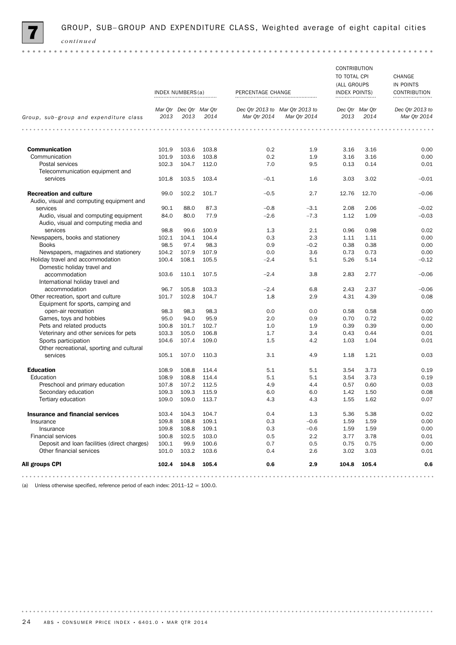

|                                                                                |              | INDEX NUMBERS(a)                |               | PERCENTAGE CHANGE |                                                 | CONTRIBUTION<br>TO TOTAL CPI<br>(ALL GROUPS<br><b>INDEX POINTS)</b><br> |                         | CHANGE<br>IN POINTS<br><b>CONTRIBUTION</b><br> |
|--------------------------------------------------------------------------------|--------------|---------------------------------|---------------|-------------------|-------------------------------------------------|-------------------------------------------------------------------------|-------------------------|------------------------------------------------|
| Group, sub-group and expenditure class                                         | 2013         | Mar Qtr Dec Qtr Mar Qtr<br>2013 | 2014          | Mar Qtr 2014      | Dec Qtr 2013 to Mar Qtr 2013 to<br>Mar Qtr 2014 | 2013                                                                    | Dec Otr Mar Otr<br>2014 | Dec Qtr 2013 to<br>Mar Qtr 2014                |
| $-0.0000$                                                                      | .            |                                 | $\sim$ $\sim$ | .<br>$- - - - -$  |                                                 | .                                                                       | .                       |                                                |
| <b>Communication</b>                                                           | 101.9        | 103.6                           | 103.8         | 0.2               | 1.9                                             | 3.16                                                                    | 3.16                    | 0.00                                           |
| Communication                                                                  | 101.9        | 103.6                           | 103.8         | 0.2               | 1.9                                             | 3.16                                                                    | 3.16                    | 0.00                                           |
| Postal services                                                                | 102.3        | 104.7                           | 112.0         | 7.0               | 9.5                                             | 0.13                                                                    | 0.14                    | 0.01                                           |
| Telecommunication equipment and                                                |              |                                 |               |                   |                                                 |                                                                         |                         |                                                |
| services                                                                       | 101.8        | 103.5                           | 103.4         | $-0.1$            | 1.6                                             | 3.03                                                                    | 3.02                    | $-0.01$                                        |
| <b>Recreation and culture</b><br>Audio, visual and computing equipment and     | 99.0         | 102.2                           | 101.7         | $-0.5$            | 2.7                                             | 12.76                                                                   | 12.70                   | $-0.06$                                        |
| services                                                                       | 90.1         | 88.0                            | 87.3          | $-0.8$            | $-3.1$                                          | 2.08                                                                    | 2.06                    | $-0.02$                                        |
| Audio, visual and computing equipment<br>Audio, visual and computing media and | 84.0         | 80.0                            | 77.9          | $-2.6$            | $-7.3$                                          | 1.12                                                                    | 1.09                    | $-0.03$                                        |
| services                                                                       | 98.8         | 99.6                            | 100.9         | 1.3               | 2.1                                             | 0.96                                                                    | 0.98                    | 0.02                                           |
| Newspapers, books and stationery                                               | 102.1        | 104.1                           | 104.4         | 0.3               | 2.3                                             | 1.11                                                                    | 1.11                    | 0.00                                           |
| <b>Books</b>                                                                   | 98.5         | 97.4                            | 98.3          | 0.9               | $-0.2$                                          | 0.38                                                                    | 0.38                    | 0.00                                           |
| Newspapers, magazines and stationery                                           | 104.2        | 107.9                           | 107.9         | 0.0               | 3.6                                             | 0.73                                                                    | 0.73                    | 0.00                                           |
| Holiday travel and accommodation<br>Domestic holiday travel and                | 100.4        | 108.1                           | 105.5         | $-2.4$            | 5.1                                             | 5.26                                                                    | 5.14                    | $-0.12$                                        |
| accommodation                                                                  | 103.6        | 110.1                           | 107.5         | $-2.4$            | 3.8                                             | 2.83                                                                    | 2.77                    | $-0.06$                                        |
| International holiday travel and<br>accommodation                              | 96.7         | 105.8                           | 103.3         | $-2.4$            | 6.8                                             | 2.43                                                                    | 2.37                    | $-0.06$                                        |
| Other recreation, sport and culture                                            | 101.7        | 102.8                           | 104.7         | 1.8               | 2.9                                             | 4.31                                                                    | 4.39                    | 0.08                                           |
| Equipment for sports, camping and                                              |              |                                 |               |                   |                                                 |                                                                         |                         |                                                |
| open-air recreation                                                            | 98.3<br>95.0 | 98.3                            | 98.3<br>95.9  | 0.0<br>2.0        | 0.0<br>0.9                                      | 0.58                                                                    | 0.58<br>0.72            | 0.00<br>0.02                                   |
| Games, toys and hobbies<br>Pets and related products                           | 100.8        | 94.0<br>101.7                   | 102.7         | 1.0               | 1.9                                             | 0.70<br>0.39                                                            | 0.39                    | 0.00                                           |
| Veterinary and other services for pets                                         | 103.3        | 105.0                           | 106.8         | 1.7               | 3.4                                             | 0.43                                                                    | 0.44                    | 0.01                                           |
| Sports participation                                                           | 104.6        | 107.4                           | 109.0         | 1.5               | 4.2                                             | 1.03                                                                    | 1.04                    | 0.01                                           |
| Other recreational, sporting and cultural                                      |              |                                 |               |                   |                                                 |                                                                         |                         |                                                |
| services                                                                       | 105.1        | 107.0                           | 110.3         | 3.1               | 4.9                                             | 1.18                                                                    | 1.21                    | 0.03                                           |
| <b>Education</b>                                                               | 108.9        | 108.8                           | 114.4         | 5.1               | 5.1                                             | 3.54                                                                    | 3.73                    | 0.19                                           |
| Education                                                                      | 108.9        | 108.8                           | 114.4         | 5.1               | 5.1                                             | 3.54                                                                    | 3.73                    | 0.19                                           |
| Preschool and primary education                                                | 107.8        | 107.2                           | 112.5         | 4.9               | 4.4                                             | 0.57                                                                    | 0.60                    | 0.03                                           |
| Secondary education                                                            | 109.3        | 109.3                           | 115.9         | 6.0               | 6.0                                             | 1.42                                                                    | 1.50                    | 0.08                                           |
| Tertiary education                                                             | 109.0        | 109.0                           | 113.7         | 4.3               | 4.3                                             | 1.55                                                                    | 1.62                    | 0.07                                           |
| <b>Insurance and financial services</b>                                        | 103.4        | 104.3                           | 104.7         | 0.4               | 1.3                                             | 5.36                                                                    | 5.38                    | 0.02                                           |
| Insurance                                                                      | 109.8        | 108.8                           | 109.1         | 0.3               | $-0.6$                                          | 1.59                                                                    | 1.59                    | 0.00                                           |
| Insurance                                                                      | 109.8        | 108.8                           | 109.1         | 0.3               | $-0.6$                                          | 1.59                                                                    | 1.59                    | 0.00                                           |
| <b>Financial services</b>                                                      | 100.8        | 102.5                           | 103.0         | 0.5               | 2.2                                             | 3.77                                                                    | 3.78                    | 0.01                                           |
| Deposit and loan facilities (direct charges)                                   | 100.1        | 99.9                            | 100.6         | 0.7               | 0.5                                             | 0.75                                                                    | 0.75                    | 0.00                                           |
| Other financial services                                                       | 101.0        | 103.2                           | 103.6         | 0.4               | 2.6                                             | 3.02                                                                    | 3.03                    | 0.01                                           |
| All groups CPI                                                                 | 102.4        | 104.8                           | 105.4         | 0.6               | 2.9                                             | 104.8                                                                   | 105.4                   | 0.6                                            |
|                                                                                |              |                                 |               |                   |                                                 |                                                                         |                         | .                                              |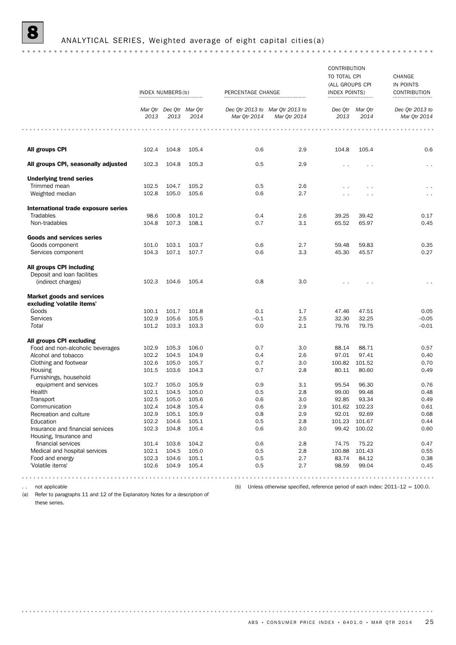## 8 ANALYTICAL SERIES, Weighted average of eight capital cities(a)

|                                                            | INDEX NUMBERS(b) |                                 |       | PERCENTAGE CHANGE |                                                                                 | CONTRIBUTION<br>TO TOTAL CPI<br>(ALL GROUPS CPI<br>INDEX POINTS)<br> |                         | CHANGE<br>IN POINTS<br>CONTRIBUTION |
|------------------------------------------------------------|------------------|---------------------------------|-------|-------------------|---------------------------------------------------------------------------------|----------------------------------------------------------------------|-------------------------|-------------------------------------|
|                                                            | 2013             | Mar Qtr Dec Qtr Mar Qtr<br>2013 | 2014  | Mar Qtr 2014      | Dec Qtr 2013 to Mar Qtr 2013 to<br>Mar Qtr 2014                                 | 2013                                                                 | Dec Qtr Mar Qtr<br>2014 | Dec Qtr 2013 to<br>Mar Qtr 2014     |
|                                                            |                  |                                 |       |                   |                                                                                 |                                                                      |                         |                                     |
| All groups CPI                                             | 102.4            | 104.8                           | 105.4 | 0.6               | 2.9                                                                             | 104.8                                                                | 105.4                   | 0.6                                 |
| All groups CPI, seasonally adjusted                        | 102.3            | 104.8                           | 105.3 | 0.5               | 2.9                                                                             | $\sim$                                                               |                         | $\sim$                              |
| <b>Underlying trend series</b>                             |                  |                                 |       |                   |                                                                                 |                                                                      |                         |                                     |
| Trimmed mean                                               | 102.5            | 104.7                           | 105.2 | 0.5               | 2.6                                                                             | $\sim$                                                               | $\ddotsc$               |                                     |
| Weighted median                                            | 102.8            | 105.0                           | 105.6 | 0.6               | 2.7                                                                             | $\sim$                                                               |                         | $\sim$ $\sim$                       |
| International trade exposure series                        |                  |                                 |       |                   |                                                                                 |                                                                      |                         |                                     |
| Tradables                                                  | 98.6             | 100.8                           | 101.2 | 0.4               | 2.6                                                                             | 39.25                                                                | 39.42                   | 0.17                                |
| Non-tradables                                              | 104.8            | 107.3                           | 108.1 | 0.7               | 3.1                                                                             | 65.52                                                                | 65.97                   | 0.45                                |
| <b>Goods and services series</b>                           |                  |                                 |       |                   |                                                                                 |                                                                      |                         |                                     |
| Goods component                                            | 101.0            | 103.1                           | 103.7 | 0.6               | 2.7                                                                             | 59.48                                                                | 59.83                   | 0.35                                |
| Services component                                         | 104.3            | 107.1                           | 107.7 | 0.6               | 3.3                                                                             | 45.30                                                                | 45.57                   | 0.27                                |
| All groups CPI including                                   |                  |                                 |       |                   |                                                                                 |                                                                      |                         |                                     |
| Deposit and loan facilities                                |                  |                                 |       |                   |                                                                                 |                                                                      |                         |                                     |
| (indirect charges)                                         | 102.3            | 104.6                           | 105.4 | 0.8               | 3.0                                                                             |                                                                      |                         |                                     |
| <b>Market goods and services</b>                           |                  |                                 |       |                   |                                                                                 |                                                                      |                         |                                     |
| excluding 'volatile items'                                 |                  |                                 |       |                   |                                                                                 |                                                                      |                         |                                     |
| Goods                                                      | 100.1            | 101.7                           | 101.8 | 0.1               | 1.7                                                                             | 47.46                                                                | 47.51                   | 0.05                                |
| Services                                                   | 102.9            | 105.6                           | 105.5 | $-0.1$            | 2.5                                                                             | 32.30                                                                | 32.25                   | $-0.05$                             |
| Total                                                      | 101.2            | 103.3                           | 103.3 | 0.0               | 2.1                                                                             | 79.76                                                                | 79.75                   | $-0.01$                             |
| All groups CPI excluding                                   |                  |                                 |       |                   |                                                                                 |                                                                      |                         |                                     |
| Food and non-alcoholic beverages                           | 102.9            | 105.3                           | 106.0 | 0.7               | 3.0                                                                             | 88.14                                                                | 88.71                   | 0.57                                |
| Alcohol and tobacco                                        | 102.2            | 104.5                           | 104.9 | 0.4               | 2.6                                                                             | 97.01                                                                | 97.41                   | 0.40                                |
| Clothing and footwear                                      | 102.6            | 105.0                           | 105.7 | 0.7               | 3.0                                                                             | 100.82                                                               | 101.52                  | 0.70                                |
| Housing                                                    | 101.5            | 103.6                           | 104.3 | 0.7               | 2.8                                                                             | 80.11                                                                | 80.60                   | 0.49                                |
| Furnishings, household                                     |                  |                                 |       |                   |                                                                                 |                                                                      |                         |                                     |
| equipment and services                                     | 102.7            | 105.0                           | 105.9 | 0.9               | 3.1                                                                             | 95.54                                                                | 96.30                   | 0.76                                |
| Health                                                     | 102.1            | 104.5                           | 105.0 | 0.5               | 2.8                                                                             | 99.00                                                                | 99.48                   | 0.48                                |
| Transport                                                  | 102.5            | 105.0                           | 105.6 | 0.6               | 3.0                                                                             | 92.85                                                                | 93.34                   | 0.49                                |
| Communication                                              | 102.4            | 104.8                           | 105.4 | 0.6               | 2.9                                                                             |                                                                      | 101.62 102.23           | 0.61                                |
| Recreation and culture                                     | 102.9            | 105.1                           | 105.9 | 0.8               | $2.9\,$                                                                         | 92.01                                                                | 92.69                   | 0.68                                |
| Education                                                  | 102.2            | 104.6                           | 105.1 | 0.5               | 2.8                                                                             | 101.23                                                               | 101.67                  | 0.44                                |
| Insurance and financial services<br>Housing, Insurance and | 102.3            | 104.8                           | 105.4 | 0.6               | 3.0                                                                             | 99.42                                                                | 100.02                  | 0.60                                |
| financial services                                         | 101.4            | 103.6                           | 104.2 | 0.6               | 2.8                                                                             | 74.75                                                                | 75.22                   | 0.47                                |
| Medical and hospital services                              | 102.1            | 104.5                           | 105.0 | 0.5               | 2.8                                                                             | 100.88                                                               | 101.43                  | 0.55                                |
| Food and energy                                            | 102.3            | 104.6                           | 105.1 | 0.5               | 2.7                                                                             | 83.74                                                                | 84.12                   | 0.38                                |
| 'Volatile items'                                           | 102.6            | 104.9                           | 105.4 | 0.5               | 2.7                                                                             | 98.59                                                                | 99.04                   | 0.45                                |
|                                                            |                  |                                 |       |                   |                                                                                 |                                                                      |                         |                                     |
| not applicable                                             |                  |                                 |       | (b)               | Unless otherwise specified, reference period of each index: $2011-12 = 100.0$ . |                                                                      |                         |                                     |

(a) Refer to paragraphs 11 and 12 of the Explanatory Notes for a description of these series.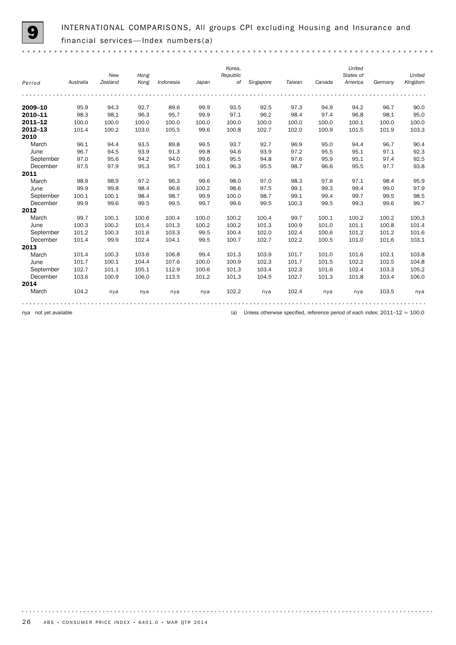$0.000$ 

INTERNATIONAL COMPARISONS, All groups CPI excluding Housing and Insurance and financial services—Index numbers(a)

| Period      | Australia | New<br>Zealand | Hong<br>Kong | Indonesia | Japan | Korea,<br>Republic<br>of | Singapore | Taiwan | Canada | United<br>States of<br>America | Germany | United<br>Kingdom |
|-------------|-----------|----------------|--------------|-----------|-------|--------------------------|-----------|--------|--------|--------------------------------|---------|-------------------|
|             |           |                |              |           |       |                          |           |        |        |                                |         |                   |
| 2009-10     | 95.9      | 94.3           | 92.7         | 89.6      | 99.9  | 93.5                     | 92.5      | 97.3   | 94.9   | 94.2                           | 96.7    | 90.0              |
| 2010-11     | 98.3      | 98.1           | 96.3         | 95.7      | 99.9  | 97.1                     | 96.2      | 98.4   | 97.4   | 96.8                           | 98.1    | 95.0              |
| 2011-12     | 100.0     | 100.0          | 100.0        | 100.0     | 100.0 | 100.0                    | 100.0     | 100.0  | 100.0  | 100.1                          | 100.0   | 100.0             |
| $2012 - 13$ | 101.4     | 100.2          | 103.0        | 105.5     | 99.6  | 100.8                    | 102.7     | 102.0  | 100.9  | 101.5                          | 101.9   | 103.3             |
| 2010        |           |                |              |           |       |                          |           |        |        |                                |         |                   |
| March       | 96.1      | 94.4           | 93.5         | 89.8      | 99.5  | 93.7                     | 92.7      | 96.9   | 95.0   | 94.4                           | 96.7    | 90.4              |
| June        | 96.7      | 94.5           | 93.9         | 91.3      | 99.8  | 94.6                     | 93.9      | 97.2   | 95.5   | 95.1                           | 97.1    | 92.3              |
| September   | 97.0      | 95.6           | 94.2         | 94.0      | 99.6  | 95.5                     | 94.8      | 97.6   | 95.9   | 95.1                           | 97.4    | 92.5              |
| December    | 97.5      | 97.9           | 95.3         | 95.7      | 100.1 | 96.3                     | 95.5      | 98.7   | 96.6   | 95.5                           | 97.7    | 93.8              |
| 2011        |           |                |              |           |       |                          |           |        |        |                                |         |                   |
| March       | 98.9      | 98.9           | 97.2         | 96.3      | 99.6  | 98.0                     | 97.0      | 98.3   | 97.6   | 97.1                           | 98.4    | 95.9              |
| June        | 99.9      | 99.8           | 98.4         | 96.6      | 100.2 | 98.6                     | 97.5      | 99.1   | 99.3   | 99.4                           | 99.0    | 97.9              |
| September   | 100.1     | 100.1          | 98.4         | 98.7      | 99.9  | 100.0                    | 98.7      | 99.1   | 99.4   | 99.7                           | 99.5    | 98.5              |
| December    | 99.9      | 99.6           | 99.5         | 99.5      | 99.7  | 99.6                     | 99.5      | 100.3  | 99.5   | 99.3                           | 99.6    | 99.7              |
| 2012        |           |                |              |           |       |                          |           |        |        |                                |         |                   |
| March       | 99.7      | 100.1          | 100.6        | 100.4     | 100.0 | 100.2                    | 100.4     | 99.7   | 100.1  | 100.2                          | 100.2   | 100.3             |
| June        | 100.3     | 100.2          | 101.4        | 101.3     | 100.2 | 100.2                    | 101.3     | 100.9  | 101.0  | 101.1                          | 100.8   | 101.4             |
| September   | 101.2     | 100.3          | 101.6        | 103.3     | 99.5  | 100.4                    | 102.0     | 102.4  | 100.6  | 101.2                          | 101.2   | 101.6             |
| December    | 101.4     | 99.9           | 102.4        | 104.1     | 99.5  | 100.7                    | 102.7     | 102.2  | 100.5  | 101.0                          | 101.6   | 103.1             |
| 2013        |           |                |              |           |       |                          |           |        |        |                                |         |                   |
| March       | 101.4     | 100.3          | 103.6        | 106.8     | 99.4  | 101.3                    | 103.9     | 101.7  | 101.0  | 101.6                          | 102.1   | 103.8             |
| June        | 101.7     | 100.1          | 104.4        | 107.6     | 100.0 | 100.9                    | 102.3     | 101.7  | 101.5  | 102.2                          | 102.5   | 104.8             |
| September   | 102.7     | 101.1          | 105.1        | 112.9     | 100.6 | 101.3                    | 103.4     | 102.3  | 101.6  | 102.4                          | 103.3   | 105.2             |
| December    | 103.6     | 100.9          | 106.0        | 113.5     | 101.2 | 101.3                    | 104.5     | 102.7  | 101.3  | 101.8                          | 103.4   | 106.0             |
| 2014        |           |                |              |           |       |                          |           |        |        |                                |         |                   |
| March       | 104.2     | nya            | nya          | nya       | nya   | 102.2                    | nya       | 102.4  | nya    | nya                            | 103.5   | nya               |
|             |           |                |              |           |       |                          |           |        |        |                                |         |                   |

nya not yet available (a) Unless otherwise specified, reference period of each index: 2011–12 = 100.0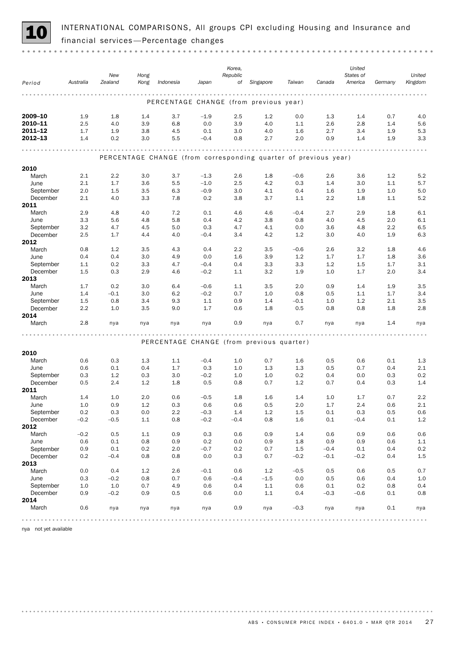

INTERNATIONAL COMPARISONS, All groups CPI excluding Housing and Insurance and 10 financial services —Percentage changes

|                       |            | New           | Hong       |            |                  | Korea,<br>Republic |                                                                 |            |            | United<br>States of |            | United         |
|-----------------------|------------|---------------|------------|------------|------------------|--------------------|-----------------------------------------------------------------|------------|------------|---------------------|------------|----------------|
| Period                | Australia  | Zealand       | Kong       | Indonesia  | Japan            | of                 | Singapore                                                       | Taiwan     | Canada     | America             | Germany    | Kingdom        |
|                       |            |               |            |            |                  | .                  | .                                                               |            |            |                     |            |                |
|                       |            |               |            |            |                  |                    | PERCENTAGE CHANGE (from previous year)                          |            |            |                     |            |                |
| 2009-10               | 1.9        | 1.8           | 1.4        | 3.7        | $-1.9$           | 2.5                | 1.2                                                             | 0.0        | 1.3        | 1.4                 | 0.7        | 4.0            |
| 2010-11<br>2011-12    | 2.5<br>1.7 | 4.0<br>1.9    | 3.9<br>3.8 | 6.8        | 0.0<br>0.1       | 3.9<br>3.0         | 4.0                                                             | 1.1        | 2.6        | 2.8                 | 1.4        | 5.6<br>5.3     |
| 2012-13               | 1.4        | 0.2           | 3.0        | 4.5<br>5.5 | $-0.4$           | 0.8                | 4.0<br>2.7                                                      | 1.6<br>2.0 | 2.7<br>0.9 | 3.4<br>1.4          | 1.9<br>1.9 | 3.3            |
|                       |            |               |            |            |                  |                    |                                                                 |            |            |                     |            |                |
|                       |            |               |            |            |                  |                    | PERCENTAGE CHANGE (from corresponding quarter of previous year) |            |            |                     |            |                |
| 2010                  |            |               |            |            |                  |                    |                                                                 |            |            |                     |            |                |
| March                 | 2.1        | 2.2           | 3.0        | 3.7        | $-1.3$           | 2.6                | 1.8                                                             | $-0.6$     | 2.6        | 3.6                 | 1.2        | 5.2            |
| June                  | 2.1        | 1.7           | 3.6        | 5.5        | $-1.0$           | 2.5                | 4.2                                                             | 0.3        | 1.4        | 3.0                 | 1.1        | 5.7            |
| September             | 2.0        | 1.5           | 3.5        | 6.3        | $-0.9$           | 3.0                | 4.1                                                             | 0.4        | 1.6        | 1.9                 | 1.0        | 5.0            |
| December              | 2.1        | 4.0           | 3.3        | 7.8        | 0.2              | 3.8                | 3.7                                                             | 1.1        | 2.2        | 1.8                 | 1.1        | 5.2            |
| 2011<br>March         | 2.9        | 4.8           | 4.0        | 7.2        | 0.1              | 4.6                | 4.6                                                             | $-0.4$     | 2.7        | 2.9                 | 1.8        | 6.1            |
| June                  | 3.3        | 5.6           | 4.8        | 5.8        | 0.4              | 4.2                | 3.8                                                             | 0.8        | 4.0        | 4.5                 | 2.0        | 6.1            |
| September             | 3.2        | 4.7           | 4.5        | 5.0        | 0.3              | 4.7                | 4.1                                                             | 0.0        | 3.6        | 4.8                 | $2.2\,$    | 6.5            |
| December              | 2.5        | 1.7           | 4.4        | 4.0        | $-0.4$           | 3.4                | 4.2                                                             | 1.2        | 3.0        | 4.0                 | 1.9        | 6.3            |
| 2012                  |            |               |            |            |                  |                    |                                                                 |            |            |                     |            |                |
| March                 | 0.8        | 1.2           | 3.5        | 4.3        | 0.4              | 2.2                | 3.5                                                             | $-0.6$     | 2.6        | 3.2                 | 1.8        | 4.6            |
| June                  | 0.4        | 0.4           | 3.0        | 4.9        | 0.0              | 1.6                | 3.9                                                             | 1.2        | 1.7        | 1.7                 | 1.8        | 3.6            |
| September<br>December | 1.1<br>1.5 | 0.2<br>0.3    | 3.3<br>2.9 | 4.7<br>4.6 | $-0.4$<br>$-0.2$ | 0.4<br>1.1         | 3.3<br>3.2                                                      | 3.3<br>1.9 | 1.2<br>1.0 | 1.5<br>1.7          | 1.7<br>2.0 | 3.1<br>3.4     |
| 2013                  |            |               |            |            |                  |                    |                                                                 |            |            |                     |            |                |
| March                 | 1.7        | 0.2           | 3.0        | 6.4        | $-0.6$           | 1.1                | 3.5                                                             | 2.0        | 0.9        | 1.4                 | 1.9        | 3.5            |
| June                  | 1.4        | $-0.1$        | 3.0        | 6.2        | $-0.2$           | 0.7                | 1.0                                                             | 0.8        | 0.5        | 1.1                 | 1.7        | 3.4            |
| September             | 1.5        | 0.8           | 3.4        | 9.3        | 1.1              | 0.9                | 1.4                                                             | $-0.1$     | 1.0        | 1.2                 | 2.1        | 3.5            |
| December              | 2.2        | 1.0           | 3.5        | 9.0        | 1.7              | 0.6                | 1.8                                                             | 0.5        | 0.8        | 0.8                 | 1.8        | 2.8            |
| 2014                  |            |               |            |            |                  |                    |                                                                 |            |            |                     |            |                |
| March                 | 2.8        | nya           | nya        | nya        | nya              | 0.9                | nya                                                             | 0.7        | nya        | nya                 | 1.4        | nya            |
|                       |            |               |            |            |                  |                    | PERCENTAGE CHANGE (from previous quarter)                       |            |            |                     |            |                |
|                       |            |               |            |            |                  |                    |                                                                 |            |            |                     |            |                |
| 2010                  |            |               |            |            |                  |                    |                                                                 |            |            |                     |            |                |
| March<br>June         | 0.6<br>0.6 | 0.3<br>0.1    | 1.3<br>0.4 | 1.1<br>1.7 | $-0.4$<br>0.3    | 1.0<br>1.0         | 0.7<br>1.3                                                      | 1.6<br>1.3 | 0.5<br>0.5 | 0.6<br>0.7          | 0.1<br>0.4 | 1.3<br>2.1     |
| September             | 0.3        | 1.2           | 0.3        | 3.0        | $-0.2$           | 1.0                | 1.0                                                             | 0.2        | 0.4        | 0.0                 | 0.3        | 0.2            |
| December              | 0.5        | 2.4           | 1.2        | 1.8        | 0.5              | 0.8                | 0.7                                                             | 1.2        | 0.7        | 0.4                 | 0.3        | 1.4            |
| 2011                  |            |               |            |            |                  |                    |                                                                 |            |            |                     |            |                |
| March                 | 1.4        | 1.0           | 2.0        | 0.6        | $-0.5$           | 1.8                | 1.6                                                             | 1.4        | 1.0        | 1.7                 | 0.7        | 2.2            |
| June                  | $1.0\,$    | 0.9           | 1.2        | $0.3\,$    | 0.6              | $0.6\,$            | 0.5                                                             | 2.0        | $1.7\,$    | 2.4                 | 0.6        | 2.1            |
| September<br>December | 0.2        | 0.3           | 0.0        | 2.2<br>0.8 | $-0.3$<br>$-0.2$ | 1.4<br>$-0.4$      | 1.2                                                             | $1.5\,$    | 0.1<br>0.1 | 0.3<br>$-0.4$       | 0.5        | $0.6\,$        |
| 2012                  | $-0.2$     | $-0.5$        | 1.1        |            |                  |                    | 0.8                                                             | 1.6        |            |                     | 0.1        | 1.2            |
| March                 | $-0.2$     | 0.5           | 1.1        | 0.9        | 0.3              | 0.6                | 0.9                                                             | 1.4        | 0.6        | 0.9                 | 0.6        | 0.6            |
| June                  | 0.6        | 0.1           | 0.8        | 0.9        | 0.2              | 0.0                | 0.9                                                             | 1.8        | 0.9        | 0.9                 | 0.6        | $1.1\,$        |
| September             | 0.9        | 0.1           | 0.2        | 2.0        | $-0.7$           | 0.2                | 0.7                                                             | $1.5\,$    | $-0.4$     | 0.1                 | 0.4        | $0.2\,$        |
| December              | 0.2        | $-0.4$        | 0.8        | 0.8        | 0.0              | 0.3                | 0.7                                                             | $-0.2$     | $-0.1$     | $-0.2$              | 0.4        | 1.5            |
| 2013                  |            |               |            |            |                  |                    |                                                                 |            |            |                     |            |                |
| March                 | 0.0        | 0.4           | 1.2        | 2.6        | $-0.1$           | 0.6                | 1.2                                                             | $-0.5$     | 0.5        | 0.6                 | 0.5        | 0.7            |
| June<br>September     | 0.3<br>1.0 | $-0.2$<br>1.0 | 0.8<br>0.7 | 0.7<br>4.9 | 0.6<br>0.6       | $-0.4$<br>0.4      | $-1.5$<br>$1.1\,$                                               | 0.0<br>0.6 | 0.5<br>0.1 | 0.6<br>0.2          | 0.4<br>0.8 | $1.0\,$<br>0.4 |
| December              | 0.9        | $-0.2$        | 0.9        | 0.5        | 0.6              | 0.0                | 1.1                                                             | 0.4        | $-0.3$     | $-0.6$              | 0.1        | 0.8            |
| 2014                  |            |               |            |            |                  |                    |                                                                 |            |            |                     |            |                |
| March                 | 0.6        | nya           | nya        | nya        | nya              | 0.9                | nya                                                             | $-0.3$     | nya        | nya                 | 0.1        | nya            |
|                       |            |               |            |            |                  |                    | 0.0.0.0                                                         |            |            |                     |            |                |

nya not yet available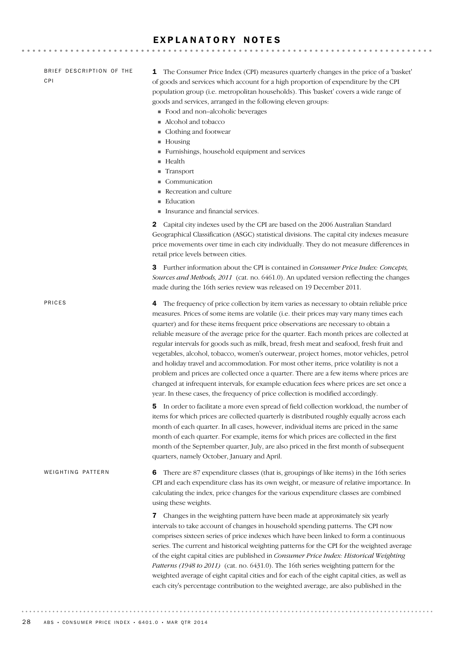### EXPLANATORY NOTES

| BRIEF DESCRIPTION OF THE<br><b>CPI</b> | The Consumer Price Index (CPI) measures quarterly changes in the price of a 'basket'<br>1<br>of goods and services which account for a high proportion of expenditure by the CPI<br>population group (i.e. metropolitan households). This 'basket' covers a wide range of<br>goods and services, arranged in the following eleven groups:<br>Food and non-alcoholic beverages<br>Alcohol and tobacco<br>Clothing and footwear<br>$\blacksquare$ Housing<br>Furnishings, household equipment and services<br>Health<br>Transport<br>Communication<br>Recreation and culture<br>Education<br>Insurance and financial services.                                                                                                                                                                                                                                                                                                       |
|----------------------------------------|------------------------------------------------------------------------------------------------------------------------------------------------------------------------------------------------------------------------------------------------------------------------------------------------------------------------------------------------------------------------------------------------------------------------------------------------------------------------------------------------------------------------------------------------------------------------------------------------------------------------------------------------------------------------------------------------------------------------------------------------------------------------------------------------------------------------------------------------------------------------------------------------------------------------------------|
|                                        | Capital city indexes used by the CPI are based on the 2006 Australian Standard<br>2<br>Geographical Classification (ASGC) statistical divisions. The capital city indexes measure<br>price movements over time in each city individually. They do not measure differences in<br>retail price levels between cities.                                                                                                                                                                                                                                                                                                                                                                                                                                                                                                                                                                                                                |
|                                        | <b>3</b> Further information about the CPI is contained in <i>Consumer Price Index: Concepts</i> ,<br>Sources and Methods, 2011 (cat. no. 6461.0). An updated version reflecting the changes<br>made during the 16th series review was released on 19 December 2011.                                                                                                                                                                                                                                                                                                                                                                                                                                                                                                                                                                                                                                                               |
| PRICES                                 | The frequency of price collection by item varies as necessary to obtain reliable price<br>4<br>measures. Prices of some items are volatile (i.e. their prices may vary many times each<br>quarter) and for these items frequent price observations are necessary to obtain a<br>reliable measure of the average price for the quarter. Each month prices are collected at<br>regular intervals for goods such as milk, bread, fresh meat and seafood, fresh fruit and<br>vegetables, alcohol, tobacco, women's outerwear, project homes, motor vehicles, petrol<br>and holiday travel and accommodation. For most other items, price volatility is not a<br>problem and prices are collected once a quarter. There are a few items where prices are<br>changed at infrequent intervals, for example education fees where prices are set once a<br>year. In these cases, the frequency of price collection is modified accordingly. |
|                                        | In order to facilitate a more even spread of field collection workload, the number of<br>5<br>items for which prices are collected quarterly is distributed roughly equally across each<br>month of each quarter. In all cases, however, individual items are priced in the same<br>month of each quarter. For example, items for which prices are collected in the first<br>month of the September quarter, July, are also priced in the first month of subsequent<br>quarters, namely October, January and April.                                                                                                                                                                                                                                                                                                                                                                                                                |
| WEIGHTING PATTERN                      | There are 87 expenditure classes (that is, groupings of like items) in the 16th series<br>6<br>CPI and each expenditure class has its own weight, or measure of relative importance. In<br>calculating the index, price changes for the various expenditure classes are combined<br>using these weights.                                                                                                                                                                                                                                                                                                                                                                                                                                                                                                                                                                                                                           |
|                                        | Changes in the weighting pattern have been made at approximately six yearly<br>7<br>intervals to take account of changes in household spending patterns. The CPI now<br>comprises sixteen series of price indexes which have been linked to form a continuous<br>series. The current and historical weighting patterns for the CPI for the weighted average<br>of the eight capital cities are published in Consumer Price Index: Historical Weighting<br>Patterns (1948 to 2011) (cat. no. 6431.0). The 16th series weighting pattern for the<br>weighted average of eight capital cities and for each of the eight capital cities, as well as<br>each city's percentage contribution to the weighted average, are also published in the                                                                                                                                                                                          |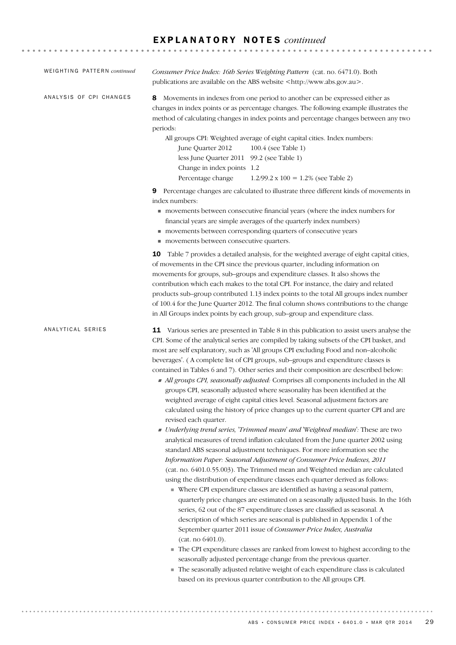| WEIGHTING PATTERN continued | Consumer Price Index: 16th Series Weighting Pattern (cat. no. 6471.0). Both<br>publications are available on the ABS website <http: www.abs.gov.au="">.</http:>                                                                                                                                                                                                                                                                                                                                                                                                                                                                                                                                                                                                                                                                                                                                                                                                                                                                                                                                                                                                                                                                                                                                                                                                                                                                                                                                                                                                                                                                                                                                                                                                                                                                                                                                                                                                                                                                                                              |
|-----------------------------|------------------------------------------------------------------------------------------------------------------------------------------------------------------------------------------------------------------------------------------------------------------------------------------------------------------------------------------------------------------------------------------------------------------------------------------------------------------------------------------------------------------------------------------------------------------------------------------------------------------------------------------------------------------------------------------------------------------------------------------------------------------------------------------------------------------------------------------------------------------------------------------------------------------------------------------------------------------------------------------------------------------------------------------------------------------------------------------------------------------------------------------------------------------------------------------------------------------------------------------------------------------------------------------------------------------------------------------------------------------------------------------------------------------------------------------------------------------------------------------------------------------------------------------------------------------------------------------------------------------------------------------------------------------------------------------------------------------------------------------------------------------------------------------------------------------------------------------------------------------------------------------------------------------------------------------------------------------------------------------------------------------------------------------------------------------------------|
| ANALYSIS OF CPI CHANGES     | Movements in indexes from one period to another can be expressed either as<br>8<br>changes in index points or as percentage changes. The following example illustrates the<br>method of calculating changes in index points and percentage changes between any two<br>periods:<br>All groups CPI: Weighted average of eight capital cities. Index numbers:<br>June Quarter 2012<br>100.4 (see Table 1)<br>less June Quarter 2011 99.2 (see Table 1)<br>Change in index points 1.2<br>Percentage change<br>$1.2/99.2 \times 100 = 1.2\%$ (see Table 2)                                                                                                                                                                                                                                                                                                                                                                                                                                                                                                                                                                                                                                                                                                                                                                                                                                                                                                                                                                                                                                                                                                                                                                                                                                                                                                                                                                                                                                                                                                                        |
|                             | Percentage changes are calculated to illustrate three different kinds of movements in<br>9<br>index numbers:<br>movements between consecutive financial years (where the index numbers for<br>financial years are simple averages of the quarterly index numbers)<br>movements between corresponding quarters of consecutive years<br>movements between consecutive quarters.                                                                                                                                                                                                                                                                                                                                                                                                                                                                                                                                                                                                                                                                                                                                                                                                                                                                                                                                                                                                                                                                                                                                                                                                                                                                                                                                                                                                                                                                                                                                                                                                                                                                                                |
|                             | <b>10</b> Table 7 provides a detailed analysis, for the weighted average of eight capital cities,<br>of movements in the CPI since the previous quarter, including information on<br>movements for groups, sub-groups and expenditure classes. It also shows the<br>contribution which each makes to the total CPI. For instance, the dairy and related<br>products sub-group contributed 1.13 index points to the total All groups index number<br>of 100.4 for the June Quarter 2012. The final column shows contributions to the change<br>in All Groups index points by each group, sub-group and expenditure class.                                                                                                                                                                                                                                                                                                                                                                                                                                                                                                                                                                                                                                                                                                                                                                                                                                                                                                                                                                                                                                                                                                                                                                                                                                                                                                                                                                                                                                                     |
| ANALYTICAL SERIES           | 11 Various series are presented in Table 8 in this publication to assist users analyse the<br>CPI. Some of the analytical series are compiled by taking subsets of the CPI basket, and<br>most are self explanatory, such as 'All groups CPI excluding Food and non-alcoholic<br>beverages'. (A complete list of CPI groups, sub-groups and expenditure classes is<br>contained in Tables 6 and 7). Other series and their composition are described below:<br>All groups CPI, seasonally adjusted: Comprises all components included in the All<br>groups CPI, seasonally adjusted where seasonality has been identified at the<br>weighted average of eight capital cities level. Seasonal adjustment factors are<br>calculated using the history of price changes up to the current quarter CPI and are<br>revised each quarter.<br>• Underlying trend series, 'Trimmed mean' and 'Weighted median': These are two<br>analytical measures of trend inflation calculated from the June quarter 2002 using<br>standard ABS seasonal adjustment techniques. For more information see the<br>Information Paper: Seasonal Adjustment of Consumer Price Indexes, 2011<br>(cat. no. 6401.0.55.003). The Trimmed mean and Weighted median are calculated<br>using the distribution of expenditure classes each quarter derived as follows:<br>• Where CPI expenditure classes are identified as having a seasonal pattern,<br>quarterly price changes are estimated on a seasonally adjusted basis. In the 16th<br>series, 62 out of the 87 expenditure classes are classified as seasonal. A<br>description of which series are seasonal is published in Appendix 1 of the<br>September quarter 2011 issue of Consumer Price Index, Australia<br>(cat. no 6401.0).<br>The CPI expenditure classes are ranked from lowest to highest according to the<br>seasonally adjusted percentage change from the previous quarter.<br>The seasonally adjusted relative weight of each expenditure class is calculated<br>based on its previous quarter contribution to the All groups CPI. |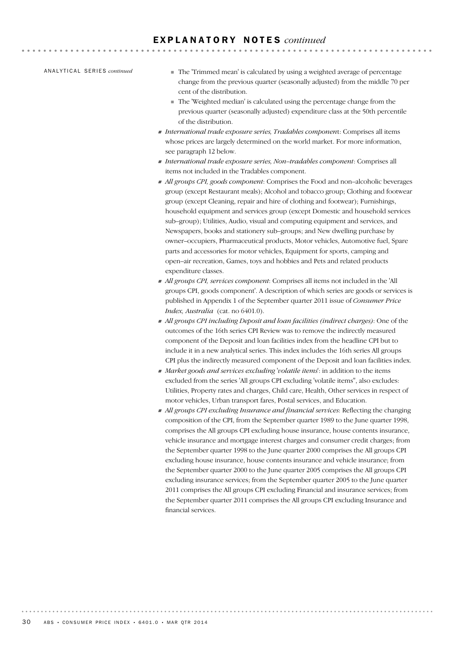AN A L Y T I C A L SE R I E S *continued*

! The 'Trimmed mean' is calculated by using a weighted average of percentage change from the previous quarter (seasonally adjusted) from the middle 70 per cent of the distribution.

 $-$ 

- ! The 'Weighted median' is calculated using the percentage change from the previous quarter (seasonally adjusted) expenditure class at the 50th percentile of the distribution.
- ! *International trade exposure series, Tradables componen*t: Comprises all items whose prices are largely determined on the world market. For more information, see paragraph 12 below.
- ! *International trade exposure series, Non–tradables component*: Comprises all items not included in the Tradables component.
- ! *All groups CPI, goods component*: Comprises the Food and non–alcoholic beverages group (except Restaurant meals); Alcohol and tobacco group; Clothing and footwear group (except Cleaning, repair and hire of clothing and footwear); Furnishings, household equipment and services group (except Domestic and household services sub–group); Utilities, Audio, visual and computing equipment and services, and Newspapers, books and stationery sub–groups; and New dwelling purchase by owner–occupiers, Pharmaceutical products, Motor vehicles, Automotive fuel, Spare parts and accessories for motor vehicles, Equipment for sports, camping and open–air recreation, Games, toys and hobbies and Pets and related products expenditure classes.
- ! *All groups CPI, services component*: Comprises all items not included in the 'All groups CPI, goods component'. A description of which series are goods or services is published in Appendix 1 of the September quarter 2011 issue of *Consumer Price Index, Australia* (cat. no 6401.0).
- ! *All groups CPI including Deposit and loan facilities (indirect charges)*: One of the outcomes of the 16th series CPI Review was to remove the indirectly measured component of the Deposit and loan facilities index from the headline CPI but to include it in a new analytical series. This index includes the 16th series All groups CPI plus the indirectly measured component of the Deposit and loan facilities index.
- ! *Market goods and services excluding 'volatile items*': in addition to the items excluded from the series 'All groups CPI excluding 'volatile items'', also excludes: Utilities, Property rates and charges, Child care, Health, Other services in respect of motor vehicles, Urban transport fares, Postal services, and Education.
- ! *All groups CPI excluding Insurance and financial services*: Reflecting the changing composition of the CPI, from the September quarter 1989 to the June quarter 1998, comprises the All groups CPI excluding house insurance, house contents insurance, vehicle insurance and mortgage interest charges and consumer credit charges; from the September quarter 1998 to the June quarter 2000 comprises the All groups CPI excluding house insurance, house contents insurance and vehicle insurance; from the September quarter 2000 to the June quarter 2005 comprises the All groups CPI excluding insurance services; from the September quarter 2005 to the June quarter 2011 comprises the All groups CPI excluding Financial and insurance services; from the September quarter 2011 comprises the All groups CPI excluding Insurance and financial services.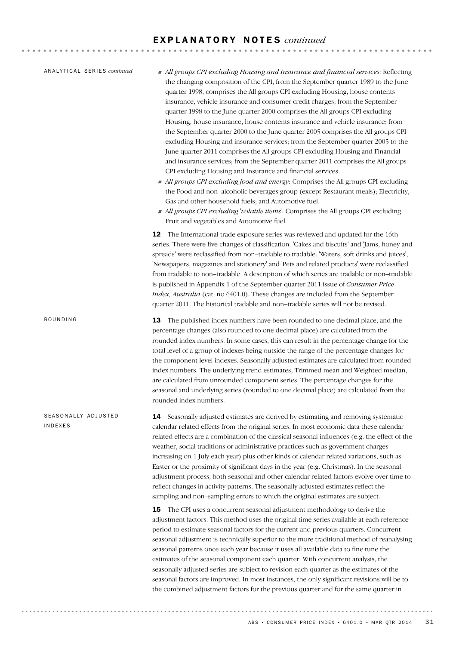14 Seasonally adjusted estimates are derived by estimating and removing systematic calendar related effects from the original series. In most economic data these calendar related effects are a combination of the classical seasonal influences (e.g. the effect of the weather, social traditions or administrative practices such as government charges increasing on 1 July each year) plus other kinds of calendar related variations, such as Easter or the proximity of significant days in the year (e.g. Christmas). In the seasonal adjustment process, both seasonal and other calendar related factors evolve over time to reflect changes in activity patterns. The seasonally adjusted estimates reflect the sampling and non–sampling errors to which the original estimates are subject. **15** The CPI uses a concurrent seasonal adjustment methodology to derive the adjustment factors. This method uses the original time series available at each reference period to estimate seasonal factors for the current and previous quarters. Concurrent seasonal adjustment is technically superior to the more traditional method of reanalysing seasonal patterns once each year because it uses all available data to fine tune the estimates of the seasonal component each quarter. With concurrent analysis, the seasonally adjusted series are subject to revision each quarter as the estimates of the seasonal factors are improved. In most instances, the only significant revisions will be to the combined adjustment factors for the previous quarter and for the same quarter in SEASONALLY ADJUSTED INDEXES **13** The published index numbers have been rounded to one decimal place, and the percentage changes (also rounded to one decimal place) are calculated from the rounded index numbers. In some cases, this can result in the percentage change for the total level of a group of indexes being outside the range of the percentage changes for the component level indexes. Seasonally adjusted estimates are calculated from rounded index numbers. The underlying trend estimates, Trimmed mean and Weighted median, are calculated from unrounded component series. The percentage changes for the seasonal and underlying series (rounded to one decimal place) are calculated from the rounded index numbers. ROUNDING ! *All groups CPI excluding Housing and Insurance and financial services*: Reflecting the changing composition of the CPI, from the September quarter 1989 to the June quarter 1998, comprises the All groups CPI excluding Housing, house contents insurance, vehicle insurance and consumer credit charges; from the September quarter 1998 to the June quarter 2000 comprises the All groups CPI excluding Housing, house insurance, house contents insurance and vehicle insurance; from the September quarter 2000 to the June quarter 2005 comprises the All groups CPI excluding Housing and insurance services; from the September quarter 2005 to the June quarter 2011 comprises the All groups CPI excluding Housing and Financial and insurance services; from the September quarter 2011 comprises the All groups CPI excluding Housing and Insurance and financial services. ! *All groups CPI excluding food and energy*: Comprises the All groups CPI excluding the Food and non–alcoholic beverages group (except Restaurant meals); Electricity, Gas and other household fuels; and Automotive fuel. ! *All groups CPI excluding 'volatile items*': Comprises the All groups CPI excluding Fruit and vegetables and Automotive fuel. 12 The International trade exposure series was reviewed and updated for the 16th series. There were five changes of classification. 'Cakes and biscuits' and 'Jams, honey and spreads' were reclassified from non–tradable to tradable. 'Waters, soft drinks and juices', 'Newspapers, magazines and stationery' and 'Pets and related products' were reclassified from tradable to non–tradable. A description of which series are tradable or non–tradable is published in Appendix 1 of the September quarter 2011 issue of *Consumer Price Index, Australia* (cat. no 6401.0). These changes are included from the September quarter 2011. The historical tradable and non–tradable series will not be revised. AN A L Y T I C A L SE R I E S *continued*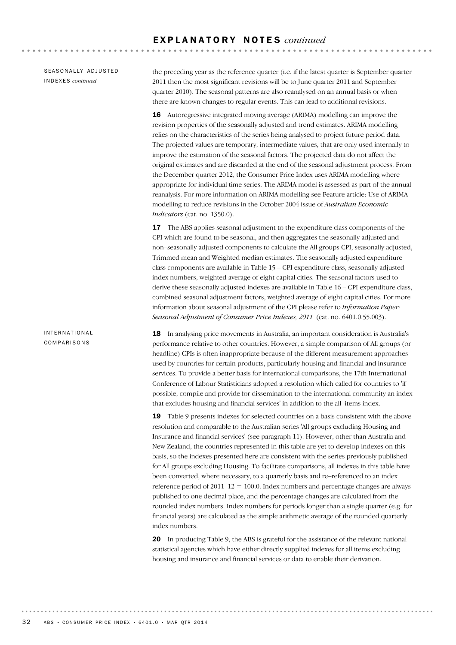SEASONALLY ADJUSTED INDEXES *continued*

the preceding year as the reference quarter (i.e. if the latest quarter is September quarter 2011 then the most significant revisions will be to June quarter 2011 and September quarter 2010). The seasonal patterns are also reanalysed on an annual basis or when there are known changes to regular events. This can lead to additional revisions.

16 Autoregressive integrated moving average (ARIMA) modelling can improve the revision properties of the seasonally adjusted and trend estimates. ARIMA modelling relies on the characteristics of the series being analysed to project future period data. The projected values are temporary, intermediate values, that are only used internally to improve the estimation of the seasonal factors. The projected data do not affect the original estimates and are discarded at the end of the seasonal adjustment process. From the December quarter 2012, the Consumer Price Index uses ARIMA modelling where appropriate for individual time series. The ARIMA model is assessed as part of the annual reanalysis. For more information on ARIMA modelling see Feature article: Use of ARIMA modelling to reduce revisions in the October 2004 issue of *Australian Economic Indicators* (cat. no. 1350.0).

**17** The ABS applies seasonal adjustment to the expenditure class components of the CPI which are found to be seasonal, and then aggregates the seasonally adjusted and non–seasonally adjusted components to calculate the All groups CPI, seasonally adjusted, Trimmed mean and Weighted median estimates. The seasonally adjusted expenditure class components are available in Table 15 – CPI expenditure class, seasonally adjusted index numbers, weighted average of eight capital cities. The seasonal factors used to derive these seasonally adjusted indexes are available in Table 16 – CPI expenditure class, combined seasonal adjustment factors, weighted average of eight capital cities. For more information about seasonal adjustment of the CPI please refer to *Information Paper: Seasonal Adjustment of Consumer Price Indexes, 2011* (cat. no. 6401.0.55.003).

18 In analysing price movements in Australia, an important consideration is Australia's performance relative to other countries. However, a simple comparison of All groups (or headline) CPIs is often inappropriate because of the different measurement approaches used by countries for certain products, particularly housing and financial and insurance services. To provide a better basis for international comparisons, the 17th International Conference of Labour Statisticians adopted a resolution which called for countries to 'if possible, compile and provide for dissemination to the international community an index that excludes housing and financial services' in addition to the all–items index.

19 Table 9 presents indexes for selected countries on a basis consistent with the above resolution and comparable to the Australian series 'All groups excluding Housing and Insurance and financial services' (see paragraph 11). However, other than Australia and New Zealand, the countries represented in this table are yet to develop indexes on this basis, so the indexes presented here are consistent with the series previously published for All groups excluding Housing. To facilitate comparisons, all indexes in this table have been converted, where necessary, to a quarterly basis and re–referenced to an index reference period of  $2011-12 = 100.0$ . Index numbers and percentage changes are always published to one decimal place, and the percentage changes are calculated from the rounded index numbers. Index numbers for periods longer than a single quarter (e.g. for financial years) are calculated as the simple arithmetic average of the rounded quarterly index numbers.

20 In producing Table 9, the ABS is grateful for the assistance of the relevant national statistical agencies which have either directly supplied indexes for all items excluding housing and insurance and financial services or data to enable their derivation.

### INTERNATIONAL COMPARISONS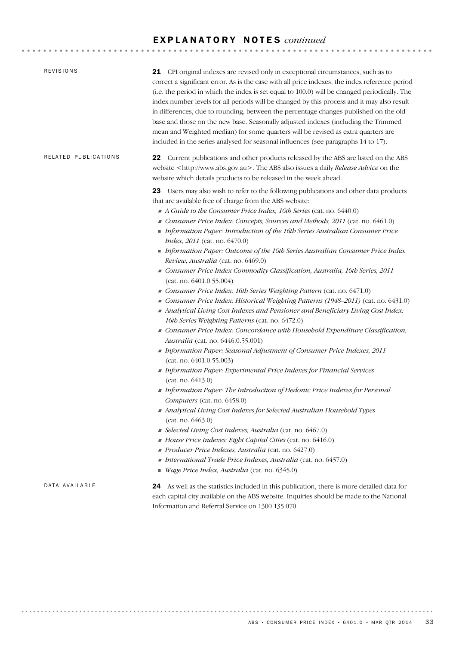| REVISIONS            | 21 CPI original indexes are revised only in exceptional circumstances, such as to<br>correct a significant error. As is the case with all price indexes, the index reference period<br>(i.e. the period in which the index is set equal to 100.0) will be changed periodically. The<br>index number levels for all periods will be changed by this process and it may also result<br>in differences, due to rounding, between the percentage changes published on the old<br>base and those on the new base. Seasonally adjusted indexes (including the Trimmed<br>mean and Weighted median) for some quarters will be revised as extra quarters are<br>included in the series analysed for seasonal influences (see paragraphs 14 to 17).                                                                                                                                                                                                                                                                                                                                                                                                                                                                                                                                                                                                                                                                                                                                                                                                                                                                                                                                                                                                                                                               |
|----------------------|----------------------------------------------------------------------------------------------------------------------------------------------------------------------------------------------------------------------------------------------------------------------------------------------------------------------------------------------------------------------------------------------------------------------------------------------------------------------------------------------------------------------------------------------------------------------------------------------------------------------------------------------------------------------------------------------------------------------------------------------------------------------------------------------------------------------------------------------------------------------------------------------------------------------------------------------------------------------------------------------------------------------------------------------------------------------------------------------------------------------------------------------------------------------------------------------------------------------------------------------------------------------------------------------------------------------------------------------------------------------------------------------------------------------------------------------------------------------------------------------------------------------------------------------------------------------------------------------------------------------------------------------------------------------------------------------------------------------------------------------------------------------------------------------------------|
| RELATED PUBLICATIONS | Current publications and other products released by the ABS are listed on the ABS<br>22<br>website <http: www.abs.gov.au="">. The ABS also issues a daily Release Advice on the<br/>website which details products to be released in the week ahead.</http:>                                                                                                                                                                                                                                                                                                                                                                                                                                                                                                                                                                                                                                                                                                                                                                                                                                                                                                                                                                                                                                                                                                                                                                                                                                                                                                                                                                                                                                                                                                                                             |
|                      | 23 Users may also wish to refer to the following publications and other data products<br>that are available free of charge from the ABS website:<br>A Guide to the Consumer Price Index, 16th Series (cat. no. 6440.0)<br>Consumer Price Index: Concepts, Sources and Methods, 2011 (cat. no. 6461.0)<br>Information Paper: Introduction of the 16th Series Australian Consumer Price<br>Index, 2011 (cat. no. 6470.0)<br>Information Paper: Outcome of the 16th Series Australian Consumer Price Index<br>Review, Australia (cat. no. 6469.0)<br>Consumer Price Index Commodity Classification, Australia, 16th Series, 2011<br>(cat. no. 6401.0.55.004)<br>Consumer Price Index: 16th Series Weighting Pattern (cat. no. 6471.0)<br>Consumer Price Index: Historical Weighting Patterns (1948-2011) (cat. no. 6431.0)<br>Analytical Living Cost Indexes and Pensioner and Beneficiary Living Cost Index:<br>16th Series Weighting Patterns (cat. no. 6472.0)<br>Consumer Price Index: Concordance with Household Expenditure Classification,<br>Australia (cat. no. 6446.0.55.001)<br>Information Paper: Seasonal Adjustment of Consumer Price Indexes, 2011<br>(cat. no. 6401.0.55.003)<br>Information Paper: Experimental Price Indexes for Financial Services<br>(cat. no. 6413.0)<br>Information Paper: The Introduction of Hedonic Price Indexes for Personal<br>Computers (cat. no. 6458.0)<br>Analytical Living Cost Indexes for Selected Australian Household Types<br>(cat. no. 6463.0)<br>Selected Living Cost Indexes, Australia (cat. no. 6467.0)<br>House Price Indexes: Eight Capital Cities (cat. no. 6416.0)<br>Producer Price Indexes, Australia (cat. no. 6427.0)<br>International Trade Price Indexes, Australia (cat. no. 6457.0)<br>Wage Price Index, Australia (cat. no. 6345.0) |
| DATA AVAILABLE       | 24 As well as the statistics included in this publication, there is more detailed data for<br>each capital city available on the ABS website. Inquiries should be made to the National<br>Information and Referral Service on 1300 135 070.                                                                                                                                                                                                                                                                                                                                                                                                                                                                                                                                                                                                                                                                                                                                                                                                                                                                                                                                                                                                                                                                                                                                                                                                                                                                                                                                                                                                                                                                                                                                                              |